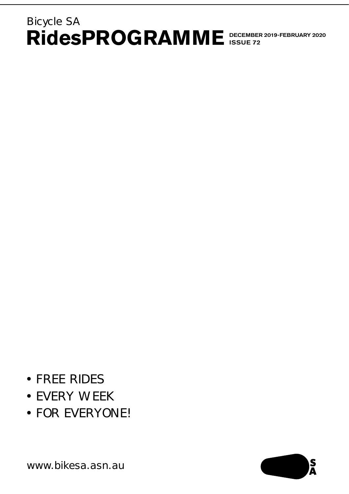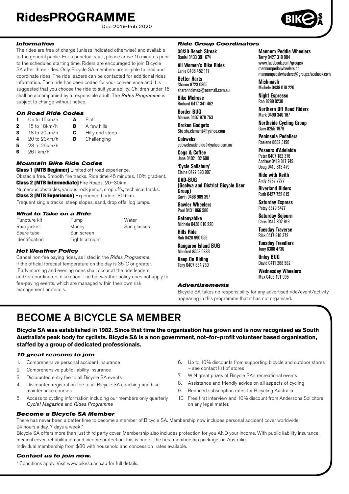Dec 2019-Feb 2020



**Mannum Peddle Wheelers**

**Northern Off Road Riders** Mark 0490 340 167 **Northside Cycling Group**

mannumpedalwheelers@groups.facebook.com

Terry 0427 319 004 www.facebook.com/groups/ mannumpedalwheelers or

**Mishmash** Michele 0438 010 220 **Night Espresso** Rob 8299 0230

Gary 8255 1979 **Peninsula Pedallers** Raelene 8682 3196 **Poseurs d'Adelaide** Peter 0407 182 376 Andrew 0419 817 749 Doug 0419 813 479 **Ride with Keith** Andy 8232 7277 **Riverland Riders** Ruth 0427 752 815 **Saturday Express** Patsy 8379 6477 **Saturday Sojourn** Chris 0414 802 919 **Tuesday Traverse** Rick 0417 816 372 **Tuesday Treadlers** Tony 8388 4730 **Unley BUG** David 0411 268 582 **Wednesday Wheelers** Max 0405 191 995

### *Information*

The rides are free of charge (unless indicated otherwise) and available to the general public. For a punctual start, please arrive 15 minutes prior to the scheduled starting time. Riders are encouraged to join Bicycle SA after three rides. Only Bicycle SA members are eligible to lead and coordinate rides. The ride leaders can be contacted for additional rides information. Each ride has been coded for your convenience and it is suggested that you choose the ride to suit your ability. Children under 16 shall be accompanied by a responsible adult. The *Rides Programme* is subject to change without notice.

#### *On Road Ride Codes*

- 1 Up to 15km/h  $\overline{A}$  Flat<br>2 15 to 18km/h  $\overline{B}$  A fe 2 15 to 18km/h **B** A few hills 3 18 to 20 km/h **C** Hilly and steep<br>4 20 to 23 km/h **D** Challenging
- 
- **5** 23 to 26km/h
- $6$  26+km/h

### *Mountain Bike Ride Codes*

**Class 1 (MTB Beginner)** Limited off road experience. Obstacle free. Smooth fire tracks. Ride time 45 minutes. 10% gradient. Class 2 (MTB Intermediate) Fire Roads, 20–30km. Numerous obstacles, various rock jumps, drop offs, technical tracks. Class 3 (MTB Experience) Experienced riders, 30+km. Frequent single tracks, steep slopes, sand, drop offs, log jumps.

Challenging

*What to Take on a Ride*

| what to Take on a Rive |                 |             |
|------------------------|-----------------|-------------|
| Puncture kit           | Pump            | Water       |
| Rain jacket            | Money           | Sun glasses |
| Spare tube             | Sun screen      |             |
| <b>Identification</b>  | Lights at night |             |

### *Hot Weather Policy*

Cancel non-fee paying rides, as listed in the *Rides Programme*, if the official forecast temperature on the day is 35°C or greater. Early morning and evening rides shall occur at the ride leaders and/or coordinators discretion. The hot weather policy does not apply to fee-paying events, which are managed within their own risk management protocols.

### *Ride Group Coordinators*

**30/30 Beach Streak** Daniel 0433 391 674 **All Women's Bike Rides** Lanie 0406 452 117

**Better Harts**  Sharon 8723 0805

sharonholmes@ozemail.com.au **Bike Melrose**

Richard 0417 341 462 **Border BUG**

Marcus 0407 978 763 **Broken Gadgets**

Stu stu.clement@yahoo.com

**Cobwebs** cobwebsadelaide@yahoo.com.au

**Cogs & Coffee** Jane 0402 102 608

**'Cycle Salisbury' Elaine 0422 393 997** 

**GAD-BUG (Goolwa and District Bicycle User Group)** Gavin 0468 909 397

**Gawler Wheelers** Paul 0431 866 586

**Getonyabike** Michele 0438 010 220

Rob 0428 990 059

Manfred 8553 0383 **Keep On Riding**

#### *Advertisements*

Bicycle SA takes no responsibility for any advertised ride/event/activity appearing in this programme that it has not organised.

# BECOME A BICYCLE SA MEMBER

**Bicycle SA was established in 1982. Since that time the organisation has grown and is now recognised as South Australia's peak body for cyclists. Bicycle SA is a non government, not–for–profit volunteer based organisation, staffed by a group of dedicated professionals.**

### *10 great reasons to join*

- 1. Comprehensive personal accident insurance
- 2. Comprehensive public liability insurance
- 3. Discounted entry fee to all Bicycle SA events
- 4. Discounted registration fee to all Bicycle SA coaching and bike maintenance courses
- 5. Access to cycling information including our members only quarterly *Cycle! Magazine* and *Rides Programme*
- 6. Up to 10% discounts from supporting bicycle and outdoor stores – see contact list of stores
- 7. WIN great prizes at Bicycle SA's recreational events
- 8. Assistance and friendly advice on all aspects of cycling
- 9. Reduced subscription rates for Bicycling Australia
- 10. Free first interview and 10% discount from Andersons Solicitors on any legal matter.

*Become a Bicycle SA Member* There has never been a better time to become a member of Bicycle SA. Membership now includes personal accident cover worldwide, 24 hours a day, 7 days a week!\*

Bicycle SA offers more than just third party cover. Membership also includes protection for you AND your income. With public liability insurance, medical cover, rehabilitation and income protection, this is one of the best membership packages in Australia. Individual membership from \$80 with household and concession rates available.

### *Contact us to join now.*

**II**

\* Conditions apply. Visit www.bikesa.asn.au for full details.

**Hills Ride Kangaroo Island BUG**

Tony 0407 884 730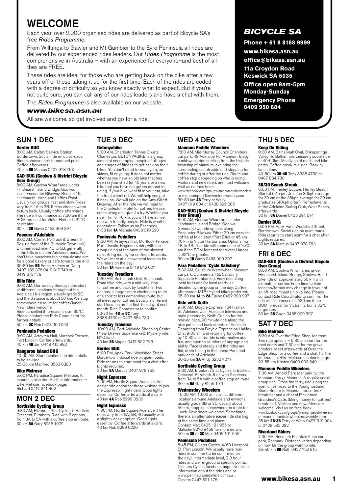# WELCOME

Each year, over 2,000 organised rides are delivered as part of Bicycle SA's free *Rides Programme*.

From Willunga to Gawler and Mt Gambier to the Eyre Peninsula all rides are delivered by our experienced rides leaders. Our *Rides Programme* is the most comprehensive in Australia – with an experience for everyone–and best of all they are FREE.

These rides are ideal for those who are getting back on the bike after a few years off or those taking it up for the first time. Each of the rides are coded with a degree of difficulty so you know exactly what to expect. But if you're not quite sure, you can call any of our rides leaders and have a chat with them.

The *Rides Programme* is also available on our website,

## *www.bikesa.asn.au*

All are welcome, so get involved and go for a ride.

# SUN 1 DEC

### Border BUG

# TUE 3 DEC Getonyabike

8:00 AM, Caltex Service Station, Bordertown. Social ride on quiet roads. Riders choose their turnaround point. Coffee afterwards. 40 km 6B Marcus 0407 978 763

GAD-BUG (Goolwa & District Bicycle User Group)

8:00 AM, Goolwa Wharf area, under Hindmarsh Island Bridge, Goolwa. Uses Encounter Bikeway, Beacon 19, Hindmarsh Island and Laffins Point. Usually two groups, fast and slow. Rides vary from 1A to 3B. Riders choose when to turn back. Usually coffee afterwards. The ride will commence at 7:30 am if the BOM forecast for Victor Harbor is 32°C or greater.

30 km 2B Gavin 0468 909 397

# Poseurs d'Adelaide

8:00 AM, Corner Portrush & Greenhill Rds. (in front of the Burnside Town Hall). Bitumen road ride, 4C to 5B, generally in the hills or quieter Adelaide roads. We don't take ourselves too seriously and aim for a good bakery or cafe towards the end.<br>60-80 km **5B** Peter, Andrew or Doug 0407 182 376 0419 817 749 or 0419 813 479

#### Hills Ride

9:00 AM, Our weekly Sunday rides start at different locations throughout the Adelaide Hills region, usually grade 2C and the distance is about 50 km. We stop somewhere en route for coffee/lunch.

New riders welcome. Ride cancelled if forecast is over 35°C. Please contact the Ride Coordinator for further details.

50 km **2C** Rob 0428 990 059

### Peninsula Pedallers

9:00 AM, Arteyrea Hall, Mortlock Terrace, Port Lincoln. Coffee afterwards.<br>40 km **4B** Jim 0448 412 992

### Kangaroo Island BUG

10:00 AM, Start location and ride details to be advised. 25-35 km Manfred 8553 0383

Bike Melrose

5:00 PM, Paradise Square, Melrose. A mountain bike ride. Further information – Bike Melrose facebook page. Richard 0417 341 462

# MON 2 DEC

# Northside Cycling Group

9:30 AM, Elizabeth Star Cycles, 5 Barfield Crescent, Elizabeth. Ride with 2 options, from 3A to 5A with a coffee stop en route. 30 km 5A Gary 8255 1979

9:00 AM, Charleston Tennis Courts, Charleston. GETONYABIKE is a group aimed at encouraging people of all ages and stages of fitness to get back on their bikes. You don't need to wear lycra, be skinny, fit or young. It does not matter whether you have an old bike that has been in your shed for 40 years or a new bike that you have not gotten around to riding. If your bike wont fit in your car, take the front wheel off. We will help you put it back on. We will ride on the Amy Gillett Bikeway. After the ride we will head to the Charleston Hotel for coffee. Please come along and give it a try. Whether you

ride 1 km or 10 km, you will have a nice ride with friendly people. Ride is weather dependent. Follow us on Facebook. 0-38 km **1A** Michele 0438 010 220

### Peninsula Pedallers

9:30 AM, Arteyrea Hall, Mortlock Terrace, Port Lincoln. Beginners ride, with the group riding at the pace of the slowest rider. Bring money for coffee afterwards. We will meet at a convenient location for the riders on the day! 30 km 1A Raelene 0419 842 007

#### Tuesday Treadlers

9:30 AM, Balhannah Oval, Balhannah. Road bike ride, with a mid-way stop for coffee and back by lunchtime. Two options, a longer, more challenging route or a shorter less demanding route, but all meet up for coffee. Usually a different start location on the first Tuesday of each month. Ride Coordinator to confirm. 50-70 km 4B or 5C Tony 8388 4730 or 0407 884 730

**Tuesday Traverse**<br>10:00 AM, Port Adelaide Shopping Centre<br>(Near Drakes Supermarket). Mystery ride. BYO lunch.

40 km 2B Magda 0417 802 723

### Border BUG

6:00 PM, Apex Park, Woolshed Street Bordertown. Social ride on quiet roads. Ride returns to start point for a chat after. Lights required.<br>30 km **6A** Marcus 0407 978 763

#### Night Espresso

7:00 PM, Hurtle Square Adelaide. An easier ride option for those wishing to join the Espresso 'night riders' Good lights essential. Coffee afterwards at a café 40 km 4A Rob 8299 0230

#### Night Espresso

7:00 PM, Hurtle Square Adelaide. The rides vary from 6A, 5B, 4C usually with a slightly easier option. Good lights essential. Coffee afterwards at a café. 40 km Rob 8299 0230

# *BICYCLE SA*

**Phone + 61 8 8168 9999** 

**www.bikesa.asn.au**

**office@bikesa.asn.au 11a Croydon Road** 

**Keswick SA 5035**

**Office open 9am-5pm Monday-Sunday** 

**Emergency Phone 0409 950 884**

### WED 4 DEC Mannum Peddle Wheelers

# 7:00 AM, Mid-Murray Council Chambers, car park, 49 Adelaide Rd, Mannum. Enjoy a mid-week ride starting from the historic township of Mannum, exploring the surrounding countryside and stopping for coffee during or after the ride. Route and coffee stop depending on who is riding.

Visitors and new riders are most welcome. Visit us on face book. www.facebook.com/groups/mannumpedalwheelers

or mannumpeddlewheelers.weebly.com 30-80 km **4B** Terry or Wally<br>0427 319 004 or 0428 592 282

#### GAD-BUG (Goolwa & District Bicycle User Group)

8:00 AM, Goolwa Wharf area, under Hindmarsh Island Bridge, Goolwa. Generally two ride options along Encounter Bikeway. Either 30 km easy for coffee at Middleton/Port Elliot or 45 km-70 km to Victor Harbor area. Options from 1B to 4B. The ride will commence at 7:30 am if the BOM forecast for Victor Harbor is 32°C or greater.<br>30 km **1B** Gavin 0468 909 397

# Para Pedallers 'Cycle Salisbury'

8:30 AM, Salisbury Waterwheel Museum car park, Commercial Rd. Salisbury (opposite Parabanks). Easy ride along local trails and/or local roads, as decided by the group on the day. Coffee afterwards. MTB/Hybrid bikes preferred. 25-30 km 1A to 2A Elaine 0422 393 997

#### Ride with Keith

9:00 AM, Bicycle Express, 124 Halifax St, Adelaide. Join Adelaide television and radio personality Keith Conlon for this relaxed pace, 90 minute ride along the bike paths and back streets of Adelaide. Departing from Bicycle Express on Halifax St at 9:00 am and returning for coffee by 10:30 am, this ride is informative and fun, and open to all riders of any age and ability. Pace is steady and the rides are flat, often taking in the Linear Park and parklands of Adelaide.<br>20–25 km **3A** Andy 8232 7277

**Northside Cycling Group**<br>9:30 AM, Elizabeth Star Cycles, 5 Barfield<br>Crescent, Elizabeth. Ride with 2 options,<br>from 3A to 5A with a coffee stop en route. 30 km 5A Gary 8255 1979

### Wednesday Wheelers

10:00 AM, 10:00 am start at different locations around Adelaide and environs, usually grade 3B or 3C, usually about 50 km, stopping somewhere en route for lunch. New riders welcome. Sometimes there is an alternative easier ride starting at the same time and place. Contact Max 0405 191 955 or Malcolm 8276 9469 for more details.<br>50 km **3B** or **3C** Max 0405 191 955

#### Peninsula Pedallers

5:45 PM, Cluster Cycles, 4/60 Liverpool St, Port Lincoln. We usually have road rides in summer (to be confirmed on the day). Intermediate level, 2-3 hour rides and we re-group at specific points. Clusters Cycles facebook page for further information about the rides and or www.peninsulapedallers.com.au . Clayton 0447 821 175

### THU 5 DEC Keep On Riding

9:30 AM, Balhannah Oval, Onkaparinga Valley Rd Balhannah. Leisurely social ride

of 40-50km. Mostly quiet roads and bike paths. Coffee break mid-ride. Back by lunch time.<br>40-50 km **3B-4B** Tony 8388 4730 or

0407 884 730

#### 30/30 Beach Streak

6:00 PM, Henley Square, Henley Beach. Start at 6:15 pm. Join the 30kph average for 30 km or the 35kph average for 30 km graduates (40kph often). Refreshments at the Adelaide Sailing Club, West Beach, afterwards.

30 km 6A Daniel 0433 391 674 Border BUG

6:00 PM, Apex Park, Woolshed Street, Bordertown. Social ride on quiet roads. Ride returns to start point for a chat after. Lights required.<br>30 km **6A** Marcus 0407 978 763

#### FRI 6 DEC GAD-BUG (Goolwa & District Bicycle User Group)

8:00 AM, Goolwa Wharf area, under Hindmarsh Island Bridge, Goolwa. Road bike ride of approximately 50 km with a break for coffee. From time to time location/terrain may change in favour of an off-road mountain bike ride. Please contact Ride Coordinator to confirm. The ride will commence at 7:30 am if the BOM forecast for Victor Harbor is 32°C

or greater.<br>50 km **3B** Gavin 0468 909 397

### SAT 7 DEC Bike Melrose

6:30 AM, Over the Edge Shop, Melrose. Two ride options – 6:30 am start for the road riders and 7:30 am for the gravel grinders. Meet afterwards at Over the Edge Shop for a coffee and a chat. Further information, Bike Melrose facebook page. 20-55 km Kristen 0409 093 649

### Mannum Peddle Wheelers

7:00 AM, Arnold Park (car park by the Mannum Ferry), Mannum. A regular social group ride. Cross the ferry, ride along the scenic river road to the Younghusband Store. Return to Mannum for coffee/ breakfast and a chat at Picklemee Grandma's Cafe. (Bring money for coffee/ breakfast). Visitors and new riders are welcome. Visit us on face book. www.facebook.com/groups/mannumpedalwheelers<br>or mannumpeddlewheelers.weebly.com<br>35 km **2B-3B** Terry or Wally 0427 319 004<br>or 0428 592 282

#### Riverland Riders

7:00 AM, Renmark Fountain/Lion car park, Renmark. Distance varies depending on how far the group want to ride.<br>35-50 km 6B Ruth 0427 752 815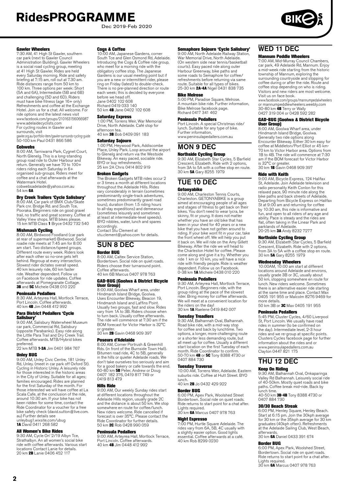Dec 2019-Feb 2020



#### Gawler Wheelers

7:30 AM, 41 High St Gawler, southern car park (next to Gawler Council Administration Building). Gawler Wheelers is a social road cycling group, meeting at 41 High St Gawler. Rides are held every Saturday morning. Ride and safety briefing at 7:15 am, roll out at 7.30 am. Ride distances range from 50 km to 100 km. Three options per week: Short (5A and 6A), Intermediate (5B and 6B) and challenging (5D and 6D). Riders must have bike fitness (age 16+ only) Refreshments and coffee at the Exchange Hotel. Join us for a chat. All welcome. For ride options and the latest news visit www.facebook.com/groups/210163156066987 www.adelaidecyclists.com For cycling routes in Gawler and surrounds, visit

gawler.org.au/portfolio-item/gawler-surrounds-cycling-guide 50-100 km Paul 0431 866 586

#### **Cohwebs**

8:00 AM, Tarniwarra Park, Cygnet Court, North Glenelg. This is a long-standing group road ride to Outer Harbour and return. Generally we have 70 to 100+ riders riding each Saturday in 6+ organised sub-groups. Riders meet for coffee and a chat afterwards at the Watermark Hotel cobwebsadelaide@yahoo.com.au

54 km 6A

#### Dry Creek Trailers 'Cycle Salisbury'

8:00 AM, Car park of BMX Club/Skate Park cnr. Bridge Rd. and South Tce, Pooraka. Beginners ride on good gravel trail, no traffic and great scenery. Coffee at Valley View shops. MTB bikes please. 15 km MTB Class 1 Bryce 0432 732 540

**Mishmash Cycling**<br>8:00 AM, Birdwood Foodland (car park<br>at rear of supermarket) Birdwood. Social roadie ride meets at 7:45 am for 8:00 am start. Two distance/speed groups. Different route every week. Riders look after each other so no-one gets left behind. Regroup at every intersection. Slowest rider dictates overall speed. 40 km leisurely ride, 60 km faster ride. Weather dependent. Follow us on Facebook for ride updates. Coffee afterwards at Pomegranate Cottage.<br>**3B** and **5C** Michele 0438 010 220

#### Peninsula Pedallers

8:30 AM, Arteyrea Hall, Mortlock Terrace, Port Lincoln. Coffee afterwards.<br>40 km **4B** Jim 0448 412 992

# Para District Pedallers 'Cycle

**Salisbury'**<br>9:00 AM, Salisbury Waterwheel Museum<br>car park, Commercial Rd, Salisbury<br>(opposite Parabanks). Easy ride along the Little Para Trail and Dry Creek Trail. Coffee afterwards. MTB/Hybrid bikes

preferred.<br>22 km MTB **1-3A** Jim 0401 984 767

### Unley BUG

9:00 AM, Unley Civic Centre, 181 Unley Rd, Unley. (meet in car park off Oxford St). Cycling in Historic Unley. A leisurely ride for those interested in the historic areas in the City of Unley. Suitable for all ages; families encouraged. Rides are planned for the first Saturday of the month. For those interested we will have coffee at La Scala Cafe, at the conclusion of the ride, around 10:30 am. If your bike has not been ridden for some time, contact the Been nuder for some time, contact the<br>Ride Coordinator for a voucher for a free bike safety check (david.sutton@live.com. au) Further details see unleybug1.wixsite.com/ubug

1A David 0411 268 582

#### All Women's Bike Rides

9:30 AM, Cycle On' 2/19 Albyn Tce, Strathalbyn. An all women's social bike ride with coffee afterwards. Various start locations Contact Lanie for details.<br>20 km **2B** Lanie 0406 452 117

#### **Coas & Coffee**

10:00 AM, Japanese Gardens, corner South Tce and Glen Osmond Rd, Adelaide. Introducing the Cogs & Coffee ride group, who meet for a morning ride with the obligatory coffee stop. The Japanese Gardens is our usual meeting point but if you are a new or intermittent rider, please ring on Friday (latest) to double-check. There is no pre-planned direction or route each week; this is decided by everyone before we head off. Jane 0402 102 608 Richard 0419 033 140 50 km 4B Jane 0402 102 608

#### Saturday Express

1:00 PM, Torrens Weir, War Memorial Drive, North Adelaide. Café stop for afternoon tea. 40 km 3B Bob 0409 091 183

#### Saturday Sojourn

1:00 PM, Heywood Park, Addiscombe Place, Unley Park. Loop around the airport to Glenelg and return via the Westside Bikeway. An easy paced, sociable ride. BYO or buy refreshments. 25 km 2A Chris 0414 802 919

### Broken Gadgets

The Broken Gadgets MTB rides occur 2 or 3 times a month at different locations throughout the Adelaide Hills. Rides vary considerably in terrain (sometimes predominantly single-track adventures, sometimes predominantly gravel road tours), duration (from 1.5 riding hours to all-day expeditions) and demeanour (sometimes leisurely and sometimes at least at intermediate-level speeds). BYO nibbles, water, lunch and spares accordingly. Contact Stu Clement at

[stu.clement@yahoo.com](mailto:stu.clement@yahoo.com) for details.

#### SUN 8 DEC Border BUG

8:00 AM, Caltex Service Station, Bordertown. Social ride on quiet roads. Riders choose their turnaround point. Coffee afterwards. 40 km 6B Marcus 0407 978 763

# **GAD-BUG (Goolwa & District Bicycle<br><b>User Group)**<br>8:00 AM, Goolwa Wharf area, under

Hindmarsh Island Bridge, Goolwa. Uses Encounter Bikeway, Beacon 19, Hindmarsh Island and Laffins Point. Usually two groups, fast and slow. Rides vary from 1A to 3B. Riders choose when to turn back. Usually coffee afterwards. The ride will commence at 7:30 am if the BOM forecast for Victor Harbor is 32°C

or greater.<br>30 km **2B** Gavin 0468 909 397

#### Poseurs d'Adelaide

8:00 AM, Corner Portrush & Greenhill Rds. (in front of the Burnside Town Hall). Bitumen road ride, 4C to 5B, generally in the hills or quieter Adelaide roads. We don't take ourselves too seriously and aim for a good bakery or cafe towards the end.<br>60-80 km **5B** Peter, Andrew or Doug<br>0407 182 376, 0419 817 749 or 0419 813 479

#### Hills Ride

9:00 AM, Our weekly Sunday rides start at different locations throughout the Adelaide Hills region, usually grade 2C and the distance is about 50 km. We stop somewhere en route for coffee/lunch. New riders welcome. Ride cancelled if forecast is over 35°C. Please contact the Ride Coordinator for further details. 50 km **2C** Rob 0428 990 059

#### Peninsula Pedallers

9:00 AM, Arteyrea Hall, Mortlock Terrace,<br>Port Lincoln. Coffee afterwards.<br>40 km **4B** Jim 0448 412 992

#### Semaphore Sojourn 'Cycle Salisbury'

9:00 AM, North Adelaide Railway Station, War Memorial Drive, North Adelaide. (On western side near tennis/basketball courts). Easy paced ride along outer Harbour Greenway, bike paths and some roads to Semaphore for coffee/<br>refreshments before returning via same<br>route. Suitable for all types of bikes.<br>25-30 km **2A-4A** Nigel 0431 838 735

#### Bike Melrose

5:00 PM, Paradise Square, Melrose. A mountain bike ride. Further information, Bike Melrose facebook page. Richard 0417 341 462

#### Peninsula Pedallers

Port Lincoln. A special Christmas ride/ lunch. Suitable for any type of bike. Further information, www.peninsulapedallers.com.au

# MON 9 DEC

Northside Cycling Group 9:30 AM, Elizabeth Star Cycles, 5 Barfield Crescent, Elizabeth. Ride with 2 options, from 3A to 5A with a coffee stop en route. 30 km 5A Gary 8255 1979

# TUE 10 DEC

### Getonyabike

9:00 AM, Charleston Tennis Courts, Charleston. GETONYABIKE is a group aimed at encouraging people of all ages and stages of fitness to get back on their bikes. You don't need to wear lycra, be skinny, fit or young. It does not matter whether you have an old bike that has been in your shed for 40 years or a new bike that you have not gotten around to riding. If your bike wont fit in your car, take the front wheel off. We will help you put it back on. We will ride on the Amy Gillett Bikeway. After the ride we will head to the Charleston Hotel for coffee. Please come along and give it a try. Whether you ride 1 km or 10 km, you will have a nice ride with friendly people. Ride is weather dependent. Follow us on Facebook. 0-38 km 1A Michele 0438 010 220

#### Peninsula Pedallers

9:30 AM, Arteyrea Hall, Mortlock Terrace, Port Lincoln. Beginners ride, with the group riding at the pace of the slowest rider. Bring money for coffee afterwards. We will meet at a convenient location for the riders on the day! 30 km 1A Raelene 0419 842 007

**Tuesday Treadlers**<br>9:30 AM, Balhannah Oval, Balhannah.<br>Road bike ride, with a mid-way stop<br>for coffee and back by lunchtime. Two options, a longer, more challenging route or a shorter less demanding route, but all meet up for coffee. Usually a different start location on the first Tuesday of each month. Ride Coordinator to confirm. 50-70 km **4B** or **5C** Tony 8388 4730 or<br>0407 884 730

Tuesday Traverse<br>10:00 AM, Torrens Weir, Adelaide. Eastern suburbs ride. Coffee at Hutt Street. BYO lunch. 40 km 2B Jo 0432 429 922

### Border BUG

6:00 PM, Apex Park, Woolshed Street Bordertown. Social ride on quiet roads. Ride returns to start point for a chat after. Lights required. 30 km 6A Marcus 0407 978 763

### Night Espresso

7:00 PM, Hurtle Square Adelaide. The rides vary from 6A, 5B, 4C usually with a slightly easier option. Good lights essential. Coffee afterwards at a café. 40 km Rob 8299 0230

# GAD-BUG (Goolwa & District Bicycle

www.facebook.com/groups/mannumpedalwheelers or mannumpeddlewheelers.weebly.com 30-80 km 4B Terry or Wally 0427 319 004 or 0428 592 282

7:00 AM, Mid-Murray Council Chambers, car park, 49 Adelaide Rd, Mannum. Enjoy a mid-week ride starting from the historic township of Mannum, exploring the surrounding countryside and stopping for coffee during or after the ride. Route and coffee stop depending on who is riding. Visitors and new riders are most welcome.

User Group) 8:00 AM, Goolwa Wharf area, under Hindmarsh Island Bridge, Goolwa. Generally two ride options along Encounter Bikeway. Either 30 km easy for coffee at Middleton/Port Elliot or 45 km-70 km to Victor Harbor area. Options from 1B to 4B. The ride will commence at 7:30 am if the BOM forecast for Victor Harbor is 32°C or greater.<br>30 km **1B** Gavin 0468 909 397

#### Ride with Keith

WED 11 DEC Mannum Peddle Wheelers

Visit us on face book.

9:00 AM, Bicycle Express, 124 Halifax St, Adelaide. Join Adelaide television and radio personality Keith Conlon for this relaxed pace, 90 minute ride along the bike paths and back streets of Adelaide. Departing from Bicycle Express on Halifax St at 9:00 am and returning for coffee by 10:30 am, this ride is informative and fun, and open to all riders of any age and ability. Pace is steady and the rides are flat, often taking in the Linear Park and parklands of Adelaide. 20-25 km 3A Andy 8232 7277

**Northside Cycling Group**<br>9:30 AM, Elizabeth Star Cycles, 5 Barfield<br>Crescent, Elizabeth. Ride with 2 options, from 3A to 5A with a coffee stop en route. 30 km 5A Gary 8255 1979

#### Wednesday Wheelers

10:00AM, 10:00 am start at different locations around Adelaide and environs, usually grade 3B or 3C, usually about 50 km, stopping somewhere en route for lunch. New riders welcome. Sometimes there is an alternative easier ride starting at the same time and place. Contact Max 0405 191 955 or Malcolm 8276 9469 for more details.

50 km 3B or **3C** Max 0405 191 955

#### Peninsula Pedallers

5:45 PM, Cluster Cycles, 4/60 Liverpool St, Port Lincoln. We usually have road rides in summer (to be confirmed on the day). Intermediate level, 2-3 hour rides and we re-group at specific points. Clusters Cycles facebook page for further information about the rides and or www.peninsulapedallers.com.au Clayton 0447 821 175

# THU 12 DEC

### Keep On Riding

9:30 AM, Balhannah Oval, Onkaparinga Valley Rd Balhannah. Leisurely social ride of 40-50km. Mostly quiet roads and bike paths. Coffee break mid-ride. Back by lunch time. 40-50 km 3B-4B Tony 8388 4730 or

0407 884 730

### 30/30 Beach Streak

6:00 PM, Henley Square, Henley Beach. Start at 6:15 pm. Join the 30kph average for 30 km or the 35kph average for 30 km graduates (40kph often). Refreshments at the Adelaide Sailing Club, West Beach, afterwards. 30 km 6A Daniel 0433 391 674

Border BUG 6:00 PM, Apex Park, Woolshed Street, Bordertown. Social ride on quiet roads. Ride returns to start point for a chat after. Lights required. 30 km **6A** Marcus 0407 978 763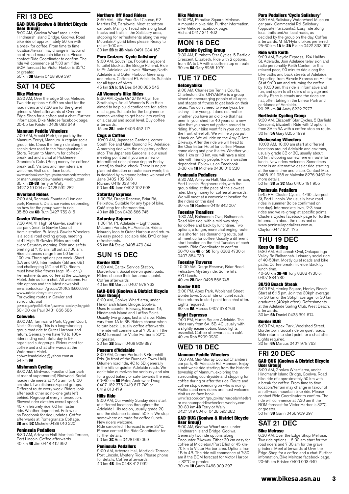#### FRI 13 DEC GAD-BUG (Goolwa & District Bicycle User Group)

8:00 AM, Goolwa Wharf area, under Hindmarsh Island Bridge, Goolwa. Road bike ride of approximately 50 km with a break for coffee. From time to time location/terrain may change in favour of an off-road mountain bike ride. Please contact Ride Coordinator to confirm. The ride will commence at 7:30 am if the BOM forecast for Victor Harbor is 32°C

or greater.<br>50 km **3B** Gavin 0468 909 397

# SAT 14 DEC

#### Bike Melrose

6:30 AM, Over the Edge Shop, Melrose. Two ride options – 6:30 am start for the road riders and 7:30 am for the gravel grinders. Meet afterwards at Over the Edge Shop for a coffee and a chat. Further information, Bike Melrose facebook page. 20-55 km Kristen 0409 093 649

#### Mannum Peddle Wheelers

7:00 AM, Arnold Park (car park by the Mannum Ferry), Mannum. A regular social group ride. Cross the ferry, ride along the scenic river road to the Younghusband Store. Return to Mannum for coffee/ breakfast and a chat at Picklemee Grandma's Cafe. (Bring money for coffee/ breakfast). Visitors and new riders are welcome. Visit us on face book. www.facebook.com/groups/mannumpedalwheelers

or mannumpeddlewheelers.weebly.com 35 km **2B-3B** Terry or Wally<br>0427 319 004 or 0428 592 282

#### Riverland Riders

7:00 AM, Renmark Fountain/Lion car park, Renmark. Distance varies depending on how far the group want to ride.<br>35-50 km **6B** Ruth 0427 752 815

#### Gawler Wheelers

7:30 AM, 41 High St Gawler, southern car park (next to Gawler Council Administration Building). Gawler Wheelers is a social road cycling group, meeting at 41 High St Gawler. Rides are held every Saturday morning. Ride and safety briefing at 7:15 am, roll out at 7.30 am. Ride distances range from 50 km to 100 km. Three options per week: Short (5A and 6A), Intermediate (5B and 6B) and challenging (5D and 6D). Riders must have bike fitness (age 16+ only) Refreshments and coffee at the Exchange Hotel. Join us for a chat. All welcome. For ride options and the latest news visit www.facebook.com/groups/210163156066987 www.adelaidecyclists.com For cycling routes in Gawler and surrounds, visit

gawler.org.au/portfolio-item/gawler-surrounds-cycling-guide 50-100 km Paul 0431 866 586

#### **Cobwebs**

8:00 AM, Tarniwarra Park, Cygnet Court, North Glenelg. This is a long-standing group road ride to Outer Harbour and return. Generally we have 70 to 100+ riders riding each Saturday in 6+ organised sub-groups. Riders meet for coffee and a chat afterwards at the Watermark Hotel

cobwebsadelaide@yahoo.com.au 54 km 6A

**Mishmash Cycling**<br>8:00 AM, Birdwood Foodland (car park<br>at rear of supermarket) Birdwood. Social roadie ride meets at 7:45 am for 8:00 am start. Two distance/speed groups. Different route every week. Riders look after each other so no-one gets left behind. Regroup at every intersection. Slowest rider dictates overall speed. 40 km leisurely ride, 60 km faster ride. Weather dependent. Follow us on Facebook for ride updates. Coffee afterwards at Pomegranate Cottage.<br>**3B** and **5C** Michele 0438 010 220

#### Peninsula Pedallers

8:30 AM, Arteyrea Hall, Mortlock Terrace, Port Lincoln. Coffee afterwards. 40 km **4B** Jim 0448 412 992

#### Northern Off Road Riders

8:50 AM, Little Para Golf Course, 62 Martins Rd, Paralowie. Meet at bottom car park. Mainly off road ride along local tracks and trails in the Salisbury area, stopping for refreshments along the way. Mountain/hybrid bikes please. Ready to roll at 9:00 am. 30 km **2B** to **3B** Mark 0491 034 167

**Para Cruizers 'Cycle Salisbury'**<br>9:00 AM, South Tce, Pooraka, adjacent<br>to toilet block at the Bridge Rd. end. Ride<br>to Pt. Adelaide via Levels Bikeway, North Adelaide and Outer Harbour Greenway and return. Coffee at Pt. Adelaide. Suitable for all types of bikes. 45 km **2A** to **3A** Des 0408 086 545

#### All Women's Bike Rides

9:30 AM, Cycle On' 2/19 Albyn Tce, Strathalbyn. An all Women's Bike Ride aimed to help build confidence for ladies of all ages. Suitable for the beginner or women wanting to get back into cycling on a casual and social level. Buy coffee afterwards. andr wates.<br>15 km **2B** Lanie 0406 452 117

#### Cogs & Coffee

10:00 AM, Japanese Gardens, corner South Tce and Glen Osmond Rd, Adelaide. A morning ride with the obligatory coffee stop. The Japanese Gardens is our usual meeting point but if you are a new or intermittent rider, please ring on Friday (latest) to double-check. There is no preplanned direction or route each week; this is decided by everyone before we head off. Jane 0402 102 608 Richard 0419 033 140 50 km 4B Jane 0402 102 608

#### Saturday Express

1:00 PM, Drage Reserve, Briar Rd, Felixstow. Suitable for any type of bike. Café stop for afternoon tea. 40 km 3B Don 0428 566 745

**Saturday Sojourn**<br>1:00 PM, Pt. Adelaide – Lighthouse,<br>McLaren Parade, Pt. Adelaide. Ride a leisurely loop to Outer Harbour and return. An easy paced, sociable ride. BYO or buy refreshments. 25 km **2A** Steve 0405 479 344

# SUN 15 DEC

Border BUG

8:00 AM, Caltex Service Station, Bordertown. Social ride on quiet roads. Riders choose their turnaround point. Coffee afterwards.

40 km 6B Marcus 0407 978 763

### GAD-BUG (Goolwa & District Bicycle User Group) 8:00 AM, Goolwa Wharf area, under

Hindmarsh Island Bridge, Goolwa. Uses Encounter Bikeway, Beacon 19, Hindmarsh Island and Laffins Point. Usually two groups, fast and slow. Rides vary from 1A to 3B. Riders choose when to turn back. Usually coffee afterwards. The ride will commence at 7:30 am if the BOM forecast for Victor Harbor is 32°C or greater.

30 km 2R Gavin 0468 909 397

#### Poseurs d'Adelaide

8:00 AM, Corner Portrush & Greenhill Rds. (in front of the Burnside Town Hall). Bitumen road ride, 4C to 5B, generally in the hills or quieter Adelaide roads. We don't take ourselves too seriously and aim for a good bakery or cafe towards the end. 60-80 km 5B Peter, Andrew or Doug 0407 182 376 0419 817 749 or 0419 813 479

#### Hills Ride

9:00 AM, Our weekly Sunday rides start at different locations throughout the Adelaide Hills region, usually grade 2C and the distance is about 50 km. We stop somewhere en route for coffee/lunch. New riders welcome.

Ride cancelled if forecast is over 35°C. Please contact the Ride Coordinator for further details. 50 km **2C** Rob 0428 990 059

#### Peninsula Pedallers

9:00 AM, Arteyrea Hall, Mortlock Terrace, Port Lincoln. Mystery Ride. Please phone for details. Coffee afterwards. 40 km 4B Jim 0448 412 992

#### Bike Melrose

5:00 PM, Paradise Square, Melrose. A mountain bike ride. Further information, Bike Melrose facebook page. Richard 0417 341 462

### MON 16 DEC Northside Cycling Group

9:30 AM, Elizabeth Star Cycles, 5 Barfield Crescent, Elizabeth. Ride with 2 options, from 3A to 5A with a coffee stop en route. 30 km 5A Gary 8255 1979

### TUE 17 DEC Getonyabike

9:00 AM, Charleston Tennis Courts, Charleston. GETONYABIKE is a group aimed at encouraging people of all ages and stages of fitness to get back on their bikes. You don't need to wear lycra, be skinny, fit or young. It does not matter whether you have an old bike that has been in your shed for 40 years or a new bike that you have not gotten around to riding. If your bike wont fit in your car, take the front wheel off. We will help you put it back on. We will ride on the Amy Gillett Bikeway. After the ride we will head to the Charleston Hotel for coffee. Please come along and give it a try. Whether you ride 1 km or 10 km, you will have a nice ride with friendly people. Ride is weather dependent. Follow us on Facebook. 0-38 km 1A Michele 0438 010 220

#### Peninsula Pedallers

9:30 AM, Arteyrea Hall, Mortlock Terrace, Port Lincoln. Beginners ride, with the group riding at the pace of the slowest rider. Bring money for coffee afterwards. We will meet at a convenient location for the riders on the day! 30 km 1A Raelene 0419 842 007

#### Tuesday Treadlers

9:30 AM, Balhannah Oval, Balhannah. Road bike ride, with a mid-way stop for coffee and back by lunchtime. Two options, a longer, more challenging route or a shorter less demanding route, but all meet up for coffee. Usually a different start location on the first Tuesday of each month. Ride Coordinator to confirm. 50-70 km **4B** or **5C** Tony 8388 4730 or<br>0407 884 730

#### Tuesday Traverse

10:00 AM, Drage Reserve, Briar Road. Felixstow. Mystery ride. Some hills. BYO lunch. 40 km **2B** Don 0428 566 745

### Border BUG

6:00 PM, Apex Park, Woolshed Street Bordertown. Social ride on quiet roads. Ride returns to start point for a chat after. Lights required. 30 km 6A Marcus 0407 978 763

#### Night Espresso

7:00 PM, Hurtle Square Adelaide. The rides vary from 6A, 5B, 4C usually with a slightly easier option. Good lights essential. Coffee afterwards at a café. 40 km Rob 8299 0230

# WED 18 DEC

#### Mannum Peddle Wheelers

7:00 AM, Mid-Murray Council Chambers, car park, 49 Adelaide Rd, Mannum. Enjoy a mid-week ride starting from the historic<br>township of Mannum, exploring the<br>surrounding countryside and stopping for<br>coffee during or after the ride. Route and<br>coffee stop depending on who is riding. Visitors and new riders are most welcome. Visit us on face book.

www.facebook.com/groups/mannumpedalwheelers or mannumpeddlewheelers.weebly.com<br>30-80 km **4B** Terry or Wally<br>0427 319 004 or 0428 592 282

#### GAD-BUG (Goolwa & District Bicycle User Group)

8:00 AM, Goolwa Wharf area, under Hindmarsh Island Bridge, Goolwa. Generally two ride options along Encounter Bikeway. Either 30 km easy for coffee at Middleton/Port Elliot or 45 km-70 km to Victor Harbor area. Options from 1B to 4B. The ride will commence at 7:30 am if the BOM forecast for Victor Harbor is 32°C or greater.<br>30 km **1B** Gavin 0468 909 397

#### Para Pedallers 'Cycle Salisbury'

8:30 AM, Salisbury Waterwheel Museum car park, Commercial Rd. Salisbury (opposite Parabanks). Easy ride along local trails and/or local roads, as decided by the group on the day. Coffee afterwards. MTB/Hybrid bikes preferred. 25-30 km 1A to 2A Elaine 0422 393 997

#### Ride with Keith

9:00 AM, Bicycle Express, 124 Halifax St, Adelaide. Join Adelaide television and radio personality Keith Conlon for this relaxed pace, 90 minute ride along the bike paths and back streets of Adelaide. Departing from Bicycle Express on Halifax St at 9:00 am and returning for coffee by 10:30 am, this ride is informative and fun, and open to all riders of any age and ability. Pace is steady and the rides are flat, often taking in the Linear Park and parklands of Adelaide. 20-25 km 3A Andy 8232 7277

### Northside Cycling Group

9:30 AM, Elizabeth Star Cycles, 5 Barfield Crescent, Elizabeth. Ride with 2 options, from 3A to 5A with a coffee stop en route. 30 km 5A Gary 8255 1979

#### Wednesday Wheelers

10:00 AM, 10:00 am start at different locations around Adelaide and environs, usually grade 3B or 3C, usually about 50 km, stopping somewhere en route for lunch. New riders welcome. Sometimes there is an alternative easier ride starting at the same time and place. Contact Max 0405 191 955 or Malcolm 8276 9469 for

more details.<br>50 km **3B** or **3C** Max 0405 191 955

#### Peninsula Pedallers

5:45 PM, Cluster Cycles, 4/60 Liverpool St, Port Lincoln. We usually have road rides in summer (to be confirmed on the day). Intermediate level, 2-3 hour rides and we re-group at specific points. Clusters Cycles facebook page for further information about the rides and or www.peninsulapedallers.com.au Clayton 0447 821 175

# THU 19 DEC

#### Keep On Riding

9:30 AM, Balhannah Oval, Onkaparinga Valley Rd Balhannah. Leisurely social ride of 40-50km. Mostly quiet roads and bike paths. Coffee break mid-ride. Back by lunch time. 40-50 km 3B-4B Tony 8388 4730 or 0407 884 730

#### 30/30 Beach Streak

6:00 PM, Henley Square, Henley Beach. Start at 6:15 pm. Join the 30kph average for 30 km or the 35kph average for 30 km graduates (40kph often). Refreshments at the Adelaide Sailing Club, West Beach, afterwards. 30 km 6A Daniel 0433 391 674

Border BUG 6:00 PM, Apex Park, Woolshed Street, Bordertown. Social ride on quiet roads. Ride returns to start point for a chat after. Lights required. 30 km 6A Marcus 0407 978 763

## FRI 20 DEC

# GAD-BUG (Goolwa & District Bicycle User Group)

8:00 AM, Goolwa Wharf area, under Hindmarsh Island Bridge, Goolwa. Road bike ride of approximately 50 km with a break for coffee. From time to time location/terrain may change in favour of an off-road mountain bike ride. Please contact Ride Coordinator to confirm. The ride will commence at 7:30 am if the BOM forecast for Victor Harbor is 32°C or greater.<br>50 km **3B** Gavin 0468 909 397

#### SAT 21 DEC Bike Melrose

6:30 AM, Over the Edge Shop, Melrose.<br>Two ride options – 6:30 am start for the<br>road riders and 7:30 am for the gravel<br>grinders. Meet afterwards at Over the<br>Edge Shop for a coffee and a chat. Further information, Bike Melrose facebook page. 20-55 km Kristen 0409 093 649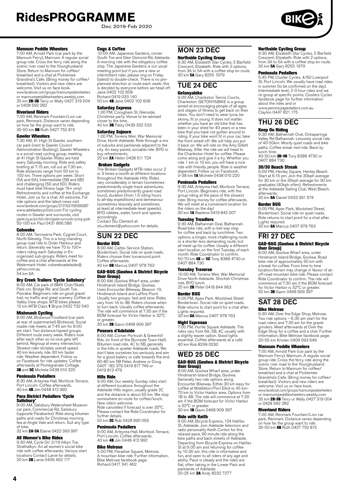Dec 2019-Feb 2020

#### Mannum Peddle Wheelers

7:00 AM, Arnold Park (car park by the Mannum Ferry), Mannum. A regular social group ride. Cross the ferry, ride along the scenic river road to the Younghusband Store. Return to Mannum for coffee/ breakfast and a chat at Picklemee Grandma's Cafe. (Bring money for coffee/ breakfast). Visitors and new riders are welcome. Visit us on face book. www.facebook.com/groups/mannumpedalwheelers

or mannumpeddlewheelers.weebly.com<br>35 km **2B-3B** Terry or Wally 0427 319 004 or 0428 592 282

#### Riverland Riders

7:00 AM, Renmark Fountain/Lion car park, Renmark. Distance varies depending on how far the group want to ride. 35-50 km 6B Ruth 0427 752 815

**Gawler Wheelers**<br>7:30 AM, 41 High St Gawler, southern<br>car park (next to Gawler Council Administration Building). Gawler Wheelers is a social road cycling group, meeting at 41 High St Gawler. Rides are held every Saturday morning. Ride and safety briefing at 7:15 am, roll out at 7.30 am. Ride distances range from 50 km to 100 km. Three options per week: Short (5A and 6A), Intermediate (5B and 6B) and challenging (5D and 6D). Riders must have bike fitness (age 16+ only) Refreshments and coffee at the Exchange Hotel. Join us for a chat. All welcome. For ride options and the latest news visit www.facebook.com/groups/210163156066987 www.adelaidecyclists.com For cycling routes in Gawler and surrounds, visit gawler.org.au/portfolio-item/gawler-surrounds-cycling-guide 50-100 km Paul 0431 866 586

**Cobwebs**<br>8:00 AM, Tarniwarra Park, Cygnet Court,<br>North Glenelg. This is a long-standing group road ride to Outer Harbour and return. Generally we have 70 to 100+ riders riding each Saturday in 6+ organised sub-groups. Riders meet for coffee and a chat afterwards at the Watermark Hotel. cobwebsadelaide@ yahoo.com.au 54 km 6A

#### Dry Creek Trailers 'Cycle Salisbury'

8:00 AM, Car park of BMX Club/Skate Park cnr. Bridge Rd. and South Tce, Pooraka. Beginners ride on good gravel trail, no traffic and great scenery. Coffee at<br>Valley View shops. MTB bikes please.<br>15 km MTB Class **1** Bryce 0432 732 540

**Mishmash Cycling**<br>8:00 AM, Birdwood Foodland (car park<br>at rear of supermarket) Birdwood. Social roadie ride meets at 7:45 am for 8:00 am start. Two distance/speed groups. Different route every week. Riders look after each other so no-one gets left behind. Regroup at every intersection. Slowest rider dictates overall speed. 40 km leisurely ride, 60 km faster ride. Weather dependent. Follow us on Facebook for ride updates. Coffee afterwards at Pomegranate Cottage.<br>**3B** and **5C** Michele 0438 010 220

#### Peninsula Pedallers

8:30 AM, Arteyrea Hall, Mortlock Terrace, Port Lincoln. Coffee afterwards. 40 km 4B Jim 0448 412 992

# **Para District Pedallers 'Cycle**<br>**Salisbury'**<br>9:00 AM, Salisbury Waterwheel Museum

car park, Commercial Rd, Salisbury (opposite Parabanks). Ride along bitumen paths and roads for Christmas morning tea at Angle Vale and return. Suit any type

of bike. 32 km 2A-3A Elaine 0422 393 997

#### All Women's Bike Rides

9:30 AM, Cycle On' 2/19 Albyn Tce, Strathalbyn. An all women's social bike ride with coffee afterwards. Various start locations Contact Lanie for details.<br>20 km **2B** Lanie 0406 452 117

#### Cogs & Coffee

10:00 AM, Japanese Gardens, corner South Tce and Glen Osmond Rd, Adelaide. A morning ride with the obligatory coffee stop. The Japanese Gardens is our usual meeting point but if you are a new or intermittent rider, please ring on Friday (latest) to double-check. There is no preplanned direction or route each week; this is decided by everyone before we head off. Jane 0402 102 608 Richard 0419 033 140 50 km 4B Jane 0402 102 608

**Saturday Express**<br>1:00 PM, Conygham St, Glenside.<br>Christmas party. Venue to be advised closer to the time.. 40 km **3B** Patsy 0439 332 533

#### Saturday Sojourn

1:00 PM, Torrens Weir, War Memorial Drive, North Adelaide. Ride through a mix of suburbs and parklands adjacent to the city. An easy paced, sociable ride. BYO or buy refreshments. 25 km **2A** Helen 0428 511 724

 Broken Gadgets The Broken Gadgets MTB rides occur 2 or 3 times a month at different locations throughout the Adelaide Hills. Rides vary considerably in terrain (sometimes predominantly single-track adventures, sometimes predominantly gravel road tours), duration (from 1.5 riding hours to all-day expeditions) and demeanour (sometimes leisurely and sometimes at least at intermediate-level speeds). BYO nibbles, water, lunch and spares accordingly. Contact Stu Clement at

[stu.clement@yahoo.com](mailto:stu.clement@yahoo.com) for details.

# SUN 22 DEC

Border BUG 8:00 AM, Caltex Service Station, Bordertown. Social ride on quiet roads. Riders choose their turnaround point. Coffee afterwards. 40 km 6B Marcus 0407 978 763

#### GAD-BUG (Goolwa & District Bicycle User Group)

8:00 AM, Goolwa Wharf area, under Hindmarsh Island Bridge, Goolwa. Uses Encounter Bikeway, Beacon 19, Hindmarsh Island and Laffins Point. Usually two groups, fast and slow. Rides vary from 1A to 3B. Riders choose when to turn back. Usually coffee afterwards. The ride will commence at 7:30 am if the BOM forecast for Victor Harbor is 32°C

or greater.<br>30 km **2B** Gavin 0468 909 397

#### Poseurs d'Adelaide

8:00 AM, Corner Portrush & Greenhill Rds. (in front of the Burnside Town Hall). Bitumen road ride, 4C to 5B, generally in the hills or quieter Adelaide roads. We don't take ourselves too seriously and aim for a good bakery or cafe towards the end. 60-80 km 5B Peter, Andrew or Doug 0407 182 376 0419 817 749 or 0419 813 479

#### Hills Ride

9:00 AM, Our weekly Sunday rides start at different locations throughout the Adelaide Hills region, usually grade 2C and the distance is about 50 km. We stop somewhere en route for coffee/lunch. New riders welcome. Ride cancelled if forecast is over 35°C. Please contact the Ride Coordinator for further details.

### 50 km **2C** Rob 0428 990 059

#### Peninsula Pedallers

9:00 AM, Arteyrea Hall, Mortlock Terrace,<br>Port Lincoln. Coffee afterwards.<br>40 km **4B** Jim 0448 412 992

#### Bike Melrose

5:00 PM, Paradise Square, Melrose. A mountain bike ride. Further information, Bike Melrose facebook page. Richard 0417 341 462

### MON 23 DEC Northside Cycling Group

9:30 AM, Elizabeth Star Cycles, 5 Barfield Crescent, Elizabeth. Ride with 2 options, from 3A to 5A with a coffee stop en route. 30 km 5A Gary 8255 1979

# TUE 24 DEC

### Getonyabike

9:00 AM, Charleston Tennis Courts, Charleston. GETONYABIKE is a group aimed at encouraging people of all ages and stages of fitness to get back on their bikes. You don't need to wear lycra, be skinny, fit or young. It does not matter whether you have an old bike that has been in your shed for 40 years or a new bike that you have not gotten around to riding. If your bike wont fit in your car, take the front wheel off. We will help you put it back on. We will ride on the Amy Gillett Bikeway. After the ride we will head to the Charleston Hotel for coffee. Please come along and give it a try. Whether you ride 1 km or 10 km, you will have a nice ride with friendly people. Ride is weather dependent. Follow us on Facebook. 0-38 km 1A Michele 0438 010 220

#### Peninsula Pedallers

9:30 AM, Arteyrea Hall, Mortlock Terrace, Port Lincoln. Beginners ride, with the group riding at the pace of the slowest rider. Bring money for coffee afterwards. We will meet at a convenient location for the riders on the day!<br>30 km **1A** Raelene 0419 842 007

**Tuesday Treadlers**<br>9:30 AM, Balhannah Oval, Balhannah. Road bike ride, with a mid-way stop for coffee and back by lunchtime. Two options, a longer, more challenging route or a shorter less demanding route, but all meet up for coffee. Usually a different start location on the first Tuesday of each month. Ride Coordinator to confirm.<br>50-70 km **4B** or **5C** Tony 8388 4730 or 0407 884 730

**Tuesday Traverse**<br>10:00 AM, Torrens Weir, War Memorial<br>Drive North Adelaide. Shortish Christmas ride. BYO lunch.<br>25 km **2B** Peter 0418 844 963

#### Border BUG

6:00 PM, Apex Park, Woolshed Street Bordertown. Social ride on quiet roads. Ride returns to start point for a chat after. Lights required. 30 km 6A Marcus 0407 978 763

#### Night Espresso

7:00 PM, Hurtle Square Adelaide. The rides vary from 6A, 5B, 4C usually with a slightly easier option. Good lights essential. Coffee afterwards at a café. 40 km Rob 8299 0230

# WED 25 DEC GAD-BUG (Goolwa & District Bicycle

User Group) 8:00 AM, Goolwa Wharf area, under Hindmarsh Island Bridge, Goolwa. Generally two ride options along Encounter Bikeway. Either 30 km easy for coffee at Middleton/Port Elliot or 45 km-70 km to Victor Harbor area. Options from 1B to 4B. The ride will commence at 7:30 am if the BOM forecast for Victor Harbor is 32°C or greater.<br>30 km **1B** Gavin 0468 909 397

#### Ride with Keith

9:00 AM, Bicycle Express, 124 Halifax St, Adelaide. Join Adelaide television and radio personality Keith Conlon for this relaxed pace, 90 minute ride along the bike paths and back streets of Adelaide. Departing from Bicycle Express on Halifax St at 9:00 am and returning for coffee by 10:30 am, this ride is informative and fun, and open to all riders of any age and ability. Pace is steady and the rides are flat, often taking in the Linear Park and parklands of Adelaide.<br>20–25 km **3A** Andy 8232 7277

#### Northside Cycling Group

9:30 AM, Elizabeth Star Cycles, 5 Barfield Crescent, Elizabeth. Ride with 2 options, from 3A to 5A with a coffee stop en route. 30 km 5A Gary 8255 1979

#### Peninsula Pedallers

5:45 PM, Cluster Cycles, 4/60 Liverpool St, Port Lincoln. We usually have road rides in summer (to be confirmed on the day). Intermediate level, 2-3 hour rides and we re-group at specific points. Clusters Cycles facebook page for further information about the rides and or www.peninsulapedallers.com.au Clayton 0447 821 175

# THU 26 DEC

#### Keep On Riding

9:30 AM, Balhannah Oval, Onkaparinga Valley Rd Balhannah. Leisurely social ride of 40-50km. Mostly quiet roads and bike paths. Coffee break mid-ride. Back by<br>lunch time.<br>40-50 km **3B-4B** Tony 8388 4730 or

0407 884 730

#### 30/30 Beach Streak

6:00 PM, Henley Square, Henley Beach. Start at 6:15 pm. Join the 30kph average for 30 km or the 35kph average for 30 km graduates (40kph often). Refreshments at the Adelaide Sailing Club, West Beach, afterwards. 30 km 6A Daniel 0433 391 674

### Border BUG

6:00 PM, Apex Park, Woolshed Street, Bordertown. Social ride on quiet roads. Ride returns to start point for a chat after. Lights required. 30 km 6A Marcus 0407 978 763

# FRI 27 DEC

#### GAD-BUG (Goolwa & District Bicycle User Group) 8:00 AM, Goolwa Wharf area, under

Hindmarsh Island Bridge, Goolwa. Road bike ride of approximately 50 km with a break for coffee. From time to time location/terrain may change in favour of an off-road mountain bike ride. Please contact Ride Coordinator to confirm. The ride will commence at 7:30 am if the BOM forecast for Victor Harbor is 32°C or greater. 50 km 3B Gavin 0468 909 397

### SAT 28 DEC Bike Melrose

6:30 AM, Over the Edge Shop, Melrose. Two ride options – 6:30 am start for the road riders and 7:30 am for the gravel grinders. Meet afterwards at Over the Edge Shop for a coffee and a chat. Further information, Bike Melrose facebook page. 20-55 km Kristen 0409 093 649

#### Mannum Peddle Wheelers

7:00 AM, Arnold Park (car park by the Mannum Ferry), Mannum. A regular social group ride. Cross the ferry, ride along the scenic river road to the Younghusband Store. Return to Mannum for coffee/ breakfast and a chat at Picklemee Grandma's Cafe. (Bring money for coffee/ breakfast). Visitors and new riders are welcome. Visit us on face book. www.facebook.com/groups/mannumpedalwheelers

or mannumpeddlewheelers.weebly.com<br>35 km 2B-3B Terry or Wally 0427 319 004 or 0428 592 282

#### Riverland Riders

7:00 AM, Renmark Fountain/Lion car park, Renmark. Distance varies depending on how far the group want to ride. 35-50 km 6B Ruth 0427 752 815

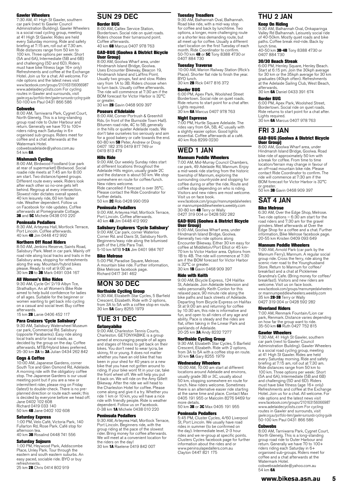#### Gawler Wheelers

7:30 AM, 41 High St Gawler, southern car park (next to Gawler Council Administration Building). Gawler Wheelers is a social road cycling group, meeting at 41 High St Gawler. Rides are held every Saturday morning. Ride and safety briefing at 7:15 am, roll out at 7.30 am. Ride distances range from 50 km to 100 km. Three options per week: Short (5A and 6A), Intermediate (5B and 6B) and challenging (5D and 6D). Riders must have bike fitness (age 16+ only) Refreshments and coffee at the Exchange Hotel. Join us for a chat. All welcome. For ride options and the latest news visit www.facebook.com/groups/210163156066987 www.adelaidecyclists.com For cycling routes in Gawler and surrounds, visit gawler.org.au/portfolio-item/gawler-surrounds-cycling-guide 50-100 km Paul 0431 866 586

#### **Cobwebs**

8:00 AM, Tarniwarra Park, Cygnet Court, North Glenelg. This is a long-standing group road ride to Outer Harbour and return. Generally we have 70 to 100+ riders riding each Saturday in 6+ organised sub-groups. Riders meet for coffee and a chat afterwards at the Watermark Hotel. cobwebsadelaide@yahoo.com.au 54 km 6A

**Mishmash Cycling**<br>8:00 AM, Birdwood Foodland (car park at rear of supermarket) Birdwood. Social roadie ride meets at 7:45 am for 8:00 am start. Two distance/speed groups. Different route every week. Riders look after each other so no-one gets left behind. Regroup at every intersection. Slowest rider dictates overall speed. 40 km leisurely ride, 60 km faster ride. Weather dependent. Follow us on Facebook for ride updates. Coffee afterwards at Pomegranate Cottage.<br>**3B** and **5C** Michele 0438 010 220

#### Peninsula Pedallers

8:30 AM, Arteyrea Hall, Mortlock Terrace, Port Lincoln. Coffee afterwards. 40 km 4B Jim 0448 412 992

#### Northern Off Road Riders

8:50 AM, Jenkins Reserve, Saints Road, Salisbury Park. Meet in car park. Mainly off road ride along local tracks and trails in the Salisbury area, stopping for refreshments<br>along the way. Mountain/hybrid bikes<br>please. Ready to roll at 9:00 am.<br>30 km **2B** to **3B** Mark 0491 034 167

#### All Women's Bike Rides

9:30 AM, Cycle On' 2/19 Albyn Tce, Strathalbyn. An all Women's Bike Ride aimed to help build confidence for ladies of all ages. Suitable for the beginner or women wanting to get back into cycling on a casual and social level. Buy coffee afterwards.

15 km **2B** Lanie 0406 452 117

#### Para Cruizers 'Cycle Salisbury'

9:30 AM, Salisbury Waterwheel Museum car park, Commercial Rd. Salisbury (opposite Parabanks). Easy ride along local trails and/or local roads, as decided by the group on the day. Coffee<br>afterwards. MTB/Hybrid bikes preferred.<br>25-30 km **2A** to **3A** Julian 0434 262 842

### Cogs & Coffee

10:00 AM, Japanese Gardens, corner South Tce and Glen Osmond Rd, Adelaide. A morning ride with the obligatory coffee stop. The Japanese Gardens is our usual meeting point but if you are a new or intermittent rider, please ring on Friday (latest) to double-check. There is no preplanned direction or route each week; this is decided by everyone before we head off. Jane 0402 102 608 Richard 0419 033 140

50 km 4B Jane 0402 102 608

#### Saturday Express

1:00 PM, Velo Café, Victoria Park, 140 Fullarton Rd, Rose Park. Café stop for afternoon tea. 40 km **3B** Rosalind 0448 741 556

### Saturday Sojourn

1:00 PM, Heywood Park, Addiscombe Place, Unley Park. Tour through the eastern and south eastern suburbs. An easy paced, sociable ride. BYO or buy refreshments.<br>25 km **2B** Chris 0414 802 919

# SUN 29 DEC

#### Border BUG

8:00 AM, Caltex Service Station, Bordertown. Social ride on quiet roads. Riders choose their turnaround point. Coffee afterwards. 40 km 6B Marcus 0407 978 763

### GAD-BUG (Goolwa & District Bicycle User Group) 8:00 AM, Goolwa Wharf area, under

Hindmarsh Island Bridge, Goolwa. Uses Encounter Bikeway, Beacon 19, Hindmarsh Island and Laffins Point. Usually two groups, fast and slow. Rides vary from 1A to 3B. Riders choose when to turn back. Usually coffee afterwards. The ride will commence at 7:30 am if the BOM forecast for Victor Harbor is 32°C or greater. 30 km 2B Gavin 0468 909 397

#### Poseurs d'Adelaide

8:00 AM, Corner Portrush & Greenhill Rds. (in front of the Burnside Town Hall). Bitumen road ride, 4C to 5B, generally in the hills or quieter Adelaide roads. We don't take ourselves too seriously and aim for a good bakery or cafe towards the end. 60-80 km 5B Peter, Andrew or Doug 0407 182 376 0419 817 749 or 0419 813 479

#### Hills Ride

9:00 AM, Our weekly Sunday rides start at different locations throughout the Adelaide Hills region, usually grade 2C and the distance is about 50 km. We stop somewhere en route for coffee/lunch. New riders welcome. Ride cancelled if forecast is over 35°C. Please contact the Ride Coordinator for further details. 50 km 2C Rob 0428 990 059

#### Peninsula Pedallers

9:00 AM, Arteyrea Hall, Mortlock Terrace, Port Lincoln. Coffee afterwards. 40 km 4B Jim 0448 412 992

#### Salisbury Explorers 'Cycle Salisbury'

9:00 AM, Car park, corner Waterloo Corner Rd. and Davis St, Salisbury North. Beginners/easy ride along the bitumised path of the Little Para Trail. 5-10 km MTB 1-2A Jim 0401 984 767

#### Bike Melrose

5:00 PM, Paradise Square, Melrose. A mountain bike ride. Further information, Bike Melrose facebook page. Richard 0417 341 462

# MON 30 DEC

### Northside Cycling Group

9:30 AM, Elizabeth Star Cycles, 5 Barfield Crescent, Elizabeth. Ride with 2 options, from 3A to 5A with a coffee stop en route. 30 km 5A Gary 8255 1979

# TUE 31 DEC

Getonyabike 9:00 AM, Charleston Tennis Courts, Charleston. GETONYABIKE is a group aimed at encouraging people of all ages and stages of fitness to get back on their bikes. You don't need to wear lycra, be skinny, fit or young. It does not matter whether you have an old bike that has been in your shed for 40 years or a new bike that you have not gotten around to riding. If your bike wont fit in your car, take the front wheel off. We will help you put it back on. We will ride on the Amy Gillett Bikeway. After the ride we will head to the Charleston Hotel for coffee. Please come along and give it a try. Whether you ride 1 km or 10 km, you will have a nice ride with friendly people. Ride is weather dependent. Follow us on Facebook. 0-38 km 1A Michele 0438 010 220

#### Peninsula Pedallers

9:30 AM, Arteyrea Hall, Mortlock Terrace, Port Lincoln. Beginners ride, with the group riding at the pace of the slowest rider. Bring money for coffee afterwards. We will meet at a convenient location for the riders on the day! 30 km 1A Raelene 0419 842 007

#### Tuesday Treadlers

9:30 AM, Balhannah Oval, Balhannah. Road bike ride, with a mid-way stop for coffee and back by lunchtime. Two options, a longer, more challenging route or a shorter less demanding route, but all meet up for coffee. Usually a different start location on the first Tuesday of each month. Ride Coordinator to confirm. 50-70 km 4B or 5C Tony 8388 4730 or 0407 884 730

**Tuesday Traverse**<br>10:00 AM, Marion Railway Station (Rick's<br>Place). Shorter flat ride to finish the year. BYO lunch. 30 km 2B Rick 0417 816 372

#### Border BUG

6:00 PM, Apex Park, Woolshed Street Bordertown. Social ride on quiet roads. Ride returns to start point for a chat after. Lights required. 30 km 6A Marcus 0407 978 763

## Night Espresso

7:00 PM, Hurtle Square Adelaide. The rides vary from 6A, 5B, 4C usually with a slightly easier option. Good lights essential. Coffee afterwards at a café. 40 km Rob 8299 0230

# WED 1 JAN

### Mannum Peddle Wheelers

7:00 AM, Mid-Murray Council Chambers, car park, 49 Adelaide Rd, Mannum. Enjoy a mid-week ride starting from the historic township of Mannum, exploring the surrounding countryside and stopping for coffee during or after the ride. Route and coffee stop depending on who is riding. Visitors and new riders are most welcome. Visit us on face book.

www.facebook.com/groups/mannumpedalwheelers or mannumpeddlewheelers.weebly.com 30-80 km **4B** Terry or Wally<br>0427 319 004 or 0428 592 282

# GAD-BUG (Goolwa & District Bicycle

User Group) 8:00 AM, Goolwa Wharf area, under Hindmarsh Island Bridge, Goolwa. Generally two ride options along Encounter Bikeway. Either 30 km easy for coffee at Middleton/Port Elliot or 45 km-70 km to Victor Harbor area. Options from 1B to 4B. The ride will commence at 7:30 am if the BOM forecast for Victor Harbor

is 32°C or greater.<br>30 km **1B** Gavin 0468 909 397

#### Ride with Keith

9:00 AM, Bicycle Express, 124 Halifax St, Adelaide. Join Adelaide television and radio personality Keith Conlon for this relaxed pace, 90 minute ride along the bike paths and back streets of Adelaide. Departing from Bicycle Express on Halifax St at 9:00 am and returning for coffee by 10:30 am, this ride is informative and fun, and open to all riders of any age and ability. Pace is steady and the rides are flat, often taking in the Linear Park and<br>parklands of Adelaide.<br>20-25 km **3A** Andy 8232 7277

Northside Cycling Group

9:30 AM, Elizabeth Star Cycles, 5 Barfield Crescent, Elizabeth. Ride with 2 options, from 3A to 5A with a coffee stop en route. 30 km 5A Gary 8255 1979

Wednesday Wheelers<br>10:00 AM, 10:00 am start at different locations around Adelaide and environs, usually grade 3B or 3C, usually about 50 km, stopping somewhere en route for lunch. New riders welcome. Sometimes there is an alternative easier ride starting at the same time and place. Contact Max 0405 191 955 or Malcolm 8276 9469 for more details. 50 km **3B** or 3C Max 0405 191 955

Peninsula Pedallers

5:45 PM, Cluster Cycles, 4/60 Liverpool St, Port Lincoln. We usually have road rides in summer (to be confirmed on the day). Intermediate level, 2-3 hour rides and we re-group at specific points. Clusters Cycles facebook page for further information about the rides and or www.peninsulapedallers.com.au Clayton 0447 821 175

### THU 2 JAN Keep On Riding

9:30 AM, Balhannah Oval, Onkaparinga Valley Rd Balhannah. Leisurely social ride of 40-50km. Mostly quiet roads and bike paths. Coffee break mid-ride. Back by

lunch time.<br>40-50 km **3B-4B** Tony 8388 4730 or<br>0407 884 730

### 30/30 Beach Streak

6:00 PM, Henley Square, Henley Beach. Start at 6:15 pm. Join the 30kph average for 30 km or the 35kph average for 30 km graduates (40kph often). Refreshments at the Adelaide Sailing Club, West Beach, afterwards.

30 km 6A Daniel 0433 391 674

### Border BUG

6:00 PM, Apex Park, Woolshed Street, Bordertown. Social ride on quiet roads. Ride returns to start point for a chat after. Lights required.<br>30 km **6A** Marcus 0407 978 763

## FRI 3 JAN GAD-BUG (Goolwa & District Bicycle

User Group) 8:00 AM, Goolwa Wharf area, under Hindmarsh Island Bridge, Goolwa. Road bike ride of approximately 50 km with a break for coffee. From time to time location/terrain may change in favour of an off-road mountain bike ride. Please contact Ride Coordinator to confirm. The ride will commence at 7:30 am if the BOM forecast for Victor Harbor is 32°C

or greater.<br>50 km **3B** Gavin 0468 909 397

# SAT 4 JAN

### Bike Melrose

6:30 AM, Over the Edge Shop, Melrose. Two ride options – 6:30 am start for the road riders and 7:30 am for the gravel grinders. Meet afterwards at Over the Edge Shop for a coffee and a chat. Further information, Bike Melrose facebook page. 20-55 km Kristen 0409 093 649

#### Mannum Peddle Wheelers

7:00 AM, Arnold Park (car park by the Mannum Ferry), Mannum. A regular social group ride. Cross the ferry, ride along the scenic river road to the Younghusband Store. Return to Mannum for coffee/ breakfast and a chat at Picklemee Grandma's Cafe. (Bring money for coffee/ breakfast). Visitors and new riders are welcome. Visit us on face book. www.facebook.com/groups/mannumpedalwheelers or mannumpeddlewheelers.weebly.com

35 km 2B-3B Terry or Wally<br>0427 319 004 or 0428 592 282

#### Riverland Riders

7:00 AM, Renmark Fountain/Lion car park, Renmark. Distance varies depending on how far the group want to ride.<br>35-50 km 6B Ruth 0427 752 815

#### Gawler Wheelers

7:30 AM, 41 High St Gawler, southern car park (next to Gawler Council Administration Building). Gawler Wheelers is a social road cycling group, meeting at 41 High St Gawler. Rides are held every Saturday morning. Ride and safety briefing at 7:15 am, roll out at 7.30 am. Ride distances range from 50 km to 100 km. Three options per week: Short (5A and 6A), Intermediate (5B and 6B) and challenging (5D and 6D). Riders must have bike fitness (age 16+ only) Refreshments and coffee at the Exchange Hotel. Join us for a chat. All welcome. For ride options and the latest news visit www.facebook.com/groups/210163156066987 www.adelaidecyclists.com For cycling routes in Gawler and surrounds, visit gawler.org.au/portfolio-item/gawler-surrounds-cycling-guide 50-100 km Paul 0431 866 586

#### **Cobwebs**

8:00 AM, Tarniwarra Park, Cygnet Court, North Glenelg. This is a long-standing group road ride to Outer Harbour and return. Generally we have 70 to 100+ riders riding each Saturday in 6+ organised sub-groups. Riders meet for coffee and a chat afterwards at the Watermark Hotel. cobwebsadelaide@yahoo.com.au 54 km 6A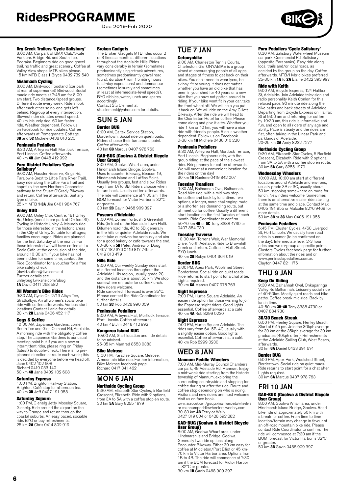Dec 2019-Feb 2020

#### Dry Creek Trailers 'Cycle Salisbury'

8:00 AM, Car park of BMX Club/Skate Park cnr. Bridge Rd. and South Tce, Pooraka. Beginners ride on good gravel trail, no traffic and great scenery. Coffee at Valley View shops. MTB bikes please. 15 km MTB Class 1 Bryce 0432 732 540

**Mishmash Cycling**<br>8:00 AM, Birdwood Foodland (car park at rear of supermarket) Birdwood. Social roadie ride meets at 7:45 am for 8:00 am start. Two distance/speed groups. Different route every week. Riders look after each other so no-one gets left behind. Regroup at every intersection. Slowest rider dictates overall speed. 40 km leisurely ride, 60 km faster ride. Weather dependent. Follow us on Facebook for ride updates. Coffee afterwards at Pomegranate Cottage.<br>**3B** and **5C** Michele 0438 010 220

#### Peninsula Pedallers

8:30 AM, Arteyrea Hall, Mortlock Terrace, Port Lincoln. Coffee afterwards. 40 km 4B Jim 0448 412 992

# Para District Pedallers 'Cycle

**Salisbury'**<br>9:00 AM, Hausler Reserve, Kings Rd, Paralowie (next to Little Para River Trail). Easy ride along the Little Para Trail and hopefully the new Northern Connector pathway to the Stuart O'Grady Bikeway and return. Coffee afterwards. Suit any

type of bike.<br>25 km MTB **1-3A** Jim 0401 984 767

#### Unley BUG

9:00 AM, Unley Civic Centre, 181 Unley Rd, Unley. (meet in car park off Oxford St). Cycling in Historic Unley. A leisurely ride for those interested in the historic areas in the City of Unley. Suitable for all ages; families encouraged. Rides are planned for the first Saturday of the month. For those interested we will have coffee at La Scala Cafe, at the conclusion of the ride, around 10:30 am. If your bike has not been ridden for some time, contact the Ride Coordinator for a voucher for a free bike safety check (david.sutton@live.com.au)

Further details see<br>unleybug1.wixsite.com/ubug<br>**1A** David 0411 268 582

#### All Women's Bike Rides

9:30 AM, Cycle On' 2/19 Albyn Tce, Strathalbyn. An all women's social bike ride with coffee afterwards. Various start locations Contact Lanie for details.<br>20 km **2B** Lanie 0406 452 117

#### **Coas & Coffee**

10:00 AM, Japanese Gardens, corner South Tce and Glen Osmond Rd, Adelaide. A morning ride with the obligatory coffee stop. The Japanese Gardens is our usual meeting point but if you are a new or intermittent rider, please ring on Friday (latest) to double-check. There is no preplanned direction or route each week; this<br>is decided by everyone before we head off.<br>Jane 0402 102 608<br>Richard 0419 033 140<br>50 km **4B** Jane 0402 102 608

#### Saturday Express

1:00 PM, Brighton Railway Station,<br>Brighton. Café stop for afternoon tea.<br>40 km **3B** Jeff 0407 191 958

#### Saturday Sojourn

1:00 PM, Glenelg Jetty, Moseley Square, Glenelg. Ride around the airport on the way to Grange and return through the coastal suburbs. An easy paced, sociable ride. BYO or buy refreshments.<br>25 km **2A** Chris 0414 802 919

#### Broken Gadgets

The Broken Gadgets MTB rides occur 2 or 3 times a month at different locations throughout the Adelaide Hills. Rides vary considerably in terrain (sometimes predominantly single-track adventures, sometimes predominantly gravel road tours), duration (from 1.5 riding hours to all-day expeditions) and demeanour (sometimes leisurely and sometimes at least at intermediate-level speeds). BYO nibbles, water, lunch and spares accordingly. Contact Stu Clement at

[stu.clement@yahoo.com](mailto:stu.clement@yahoo.com) for details.

# SUN 5 JAN

Border BUG 8:00 AM, Caltex Service Station, Bordertown. Social ride on quiet roads. Riders choose their turnaround point.

Coffee afterwards. 40 km 6B Marcus 0407 978 763

#### GAD-BUG (Goolwa & District Bicycle User Group)

8:00 AM, Goolwa Wharf area, under Hindmarsh Island Bridge, Goolwa. Uses Encounter Bikeway, Beacon 19, Hindmarsh Island and Laffins Point. Usually two groups, fast and slow. Rides vary from 1A to 3B. Riders choose when to turn back. Usually coffee afterwards. The ride will commence at 7:30 am if the BOM forecast for Victor Harbor is 32°C or greater 30 km 2B Gavin 0468 909 397

#### Poseurs d'Adelaide

8:00 AM, Corner Portrush & Greenhill Rds. (in front of the Burnside Town Hall). Bitumen road ride, 4C to 5B, generally in the hills or quieter Adelaide roads. We don't take ourselves too seriously and aim<br>for a good bakery or cafe towards the end.<br>60-80 km **5B** Peter, Andrew or Doug 0407 182 376 0419 817 749 or 0407 102 970

#### Hills Ride

9:00 AM, Our weekly Sunday rides start at different locations throughout the Adelaide Hills region, usually grade 2C and the distance is about 50 km. We stop somewhere en route for coffee/lunch. New riders welcome. Ride cancelled if forecast is over 35°C. Please contact the Ride Coordinator for further details. 50 km 2C Rob 0428 990 059

#### Peninsula Pedallers

9:00 AM, Arteyrea Hall, Mortlock Terrace, Port Lincoln. Coffee afterwards. 40 km 4B Jim 0448 412 992

#### Kangaroo Island BUG

10:00 AM, Start location and ride details to be advised. 25-35 km Manfred 8553 0383

#### Bike Melrose

5:00 PM, Paradise Square, Melrose. A mountain bike ride. Further information, Bike Melrose facebook page. Richard 0417 341 462

# MON 6 JAN

Northside Cycling Group 9:30 AM, Elizabeth Star Cycles, 5 Barfield Crescent, Elizabeth. Ride with 2 options, from 3A to 5A with a coffee stop en route. 30 km 5A Gary 8255 1979

### TUE 7 JAN **Getonyabike**

9:00 AM, Charleston Tennis Courts, Charleston. GETONYABIKE is a group aimed at encouraging people of all ages and stages of fitness to get back on their bikes. You don't need to wear lycra, be skinny, fit or young. It does not matter whether you have an old bike that has been in your shed for 40 years or a new bike that you have not gotten around to riding. If your bike wont fit in your car, take the front wheel off. We will help you put it back on. We will ride on the Amy Gillett Bikeway. After the ride we will head to the Charleston Hotel for coffee. Please come along and give it a try. Whether you ride 1 km or 10 km, you will have a nice ride with friendly people. Ride is weather dependent. Follow us on Facebook. 0-38 km 1A Michele 0438 010 220

#### Peninsula Pedallers

9:30 AM, Arteyrea Hall, Mortlock Terrace, Port Lincoln. Beginners ride, with the group riding at the pace of the slowest rider. Bring money for coffee afterwards. We will meet at a convenient location for the riders on the day!<br>30 km **1A** Raelene 0419 842 007

**Tuesday Treadlers**<br>9:30 AM, Balhannah Oval, Balhannah.<br>Road bike ride, with a mid-way stop<br>for coffee and back by lunchtime. Two options, a longer, more challenging route or a shorter less demanding route, but all meet up for coffee. Usually a different start location on the first Tuesday of each<br>month. Ride Coordinator to confirm.<br>50-70 km **4B** or **5C** Tony 8388 4730 or 0407 884 730

### Tuesday Traverse

10:00 AM, Torrens Weir, War Memorial Drive, North Adelaide. Ride to Brownhill Creek and return. Coffee in Hutt Street. BYO lunch. 40 km 2B Robyn 0401 364 019

Border BUG

#### 6:00 PM, Apex Park, Woolshed Street Bordertown. Social ride on quiet roads. Ride returns to start point for a chat after. Lights required. 30 km 6A Marcus 0407 978 763

#### Night Espresso

7:00 PM, Hurtle Square Adelaide. An easier ride option for those wishing to join the Espresso 'night riders' Good lights essential. Coffee afterwards at a café 40 km 4A Rob 8299 0230

**Night Espresso**<br>7:00 PM, Hurtle Square Adelaide. The<br>rides vary from 6A, 5B, 4C usually with<br>a slightly easier option. Good lights<br>essential. Coffee afterwards at a café. 40 km Rob 8299 0230

# WED 8 JAN

# Mannum Peddle Wheelers

7:00 AM, Mid-Murray Council Chambers, car park, 49 Adelaide Rd, Mannum. Enjoy a mid-week ride starting from the historic township of Mannum, exploring the surrounding countryside and stopping for coffee during or after the ride. Route and coffee stop depending on who is riding. Visitors and new riders are most welcome. Visit us on face book.

www.facebook.com/groups/mannumpedalwheelers or mannumpeddlewheelers.weebly.com 30-80 km **4B** Terry or Wally<br>0427 319 004 or 0428 592 282

# GAD-BUG (Goolwa & District Bicycle

**User Group)**<br>8:00 AM, Goolwa Wharf area, under Hindmarsh Island Bridge, Goolwa. Generally two ride options along Encounter Bikeway. Either 30 km easy for coffee at Middleton/Port Elliot or 45 km-70 km to Victor Harbor area. Options from 1B to 4B. The ride will commence at 7:30 am if the BOM forecast for Victor Harbor

is 32°C or greater.<br>30 km **1B** Gavin 0468 909 397

#### Para Pedallers 'Cycle Salisbury'

8:30 AM, Salisbury Waterwheel Museum car park, Commercial Rd. Salisbury (opposite Parabanks). Easy ride along local trails and/or local roads, as decided by the group on the day. Coffee afterwards. MTB/Hybrid bikes preferred. 25-30 km 1A to 2A Elaine 0422 393 997

#### Ride with Keith

9:00 AM, Bicycle Express, 124 Halifax St, Adelaide. Join Adelaide television and radio personality Keith Conlon for this relaxed pace, 90 minute ride along the bike paths and back streets of Adelaide. Departing from Bicycle Express on Halifax St at 9:00 am and returning for coffee by 10:30 am, this ride is informative and fun, and open to all riders of any age and ability. Pace is steady and the rides are flat, often taking in the Linear Park and parklands of Adelaide. 20-25 km 3A Andy 8232 7277

# Northside Cycling Group

9:30 AM, Elizabeth Star Cycles, 5 Barfield Crescent, Elizabeth. Ride with 2 options, from 3A to 5A with a coffee stop en route. 30 km 5A Gary 8255 1979

#### Wednesday Wheelers

10:00 AM, 10:00 am start at different locations around Adelaide and environs, usually grade 3B or 3C, usually about 50 km, stopping somewhere en route for lunch. New riders welcome. Sometimes there is an alternative easier ride starting at the same time and place. Contact Max 0405 191 955 or Malcolm 8276 9469 for more details. 50 km 3B or 3C Max 0405 191 955

### Peninsula Pedallers

5:45 PM, Cluster Cycles, 4/60 Liverpool St, Port Lincoln. We usually have road rides in summer (to be confirmed on the day). Intermediate level, 2-3 hour rides and we re-group at specific points. Clusters Cycles facebook page for further information about the rides and or www.peninsulapedallers.com.au Clayton 0447 821 175

# THU 9 JAN

### Keep On Riding

9:30 AM, Balhannah Oval, Onkaparinga Valley Rd Balhannah. Leisurely social ride of 40-50km. Mostly quiet roads and bike paths. Coffee break mid-ride. Back by lunch time.<br>40-50 km **3B-4B** Tony 8388 4730 or

0407 884 730

#### 30/30 Beach Streak

6:00 PM, Henley Square, Henley Beach. Start at 6:15 pm. Join the 30kph average for 30 km or the 35kph average for 30 km graduates (40kph often). Refreshments at the Adelaide Sailing Club, West Beach, afterwards.

#### 30 km 6A Daniel 0433 391 674

#### Border BUG

6:00 PM, Apex Park, Woolshed Street, Bordertown. Social ride on quiet roads. Ride returns to start point for a chat after. Lights required.<br>30 km **6A** Marcus 0407 978 763

### FRI 10 JAN

### GAD-BUG (Goolwa & District Bicycle User Group) 8:00 AM, Goolwa Wharf area, under

Hindmarsh Island Bridge, Goolwa. Road bike ride of approximately 50 km with a break for coffee. From time to time location/terrain may change in favour of an off-road mountain bike ride. Please contact Ride Coordinator to confirm. The ride will commence at 7:30 am if the BOM forecast for Victor Harbor is 32°C or greater.<br>50 km **3B** Gavin 0468 909 397

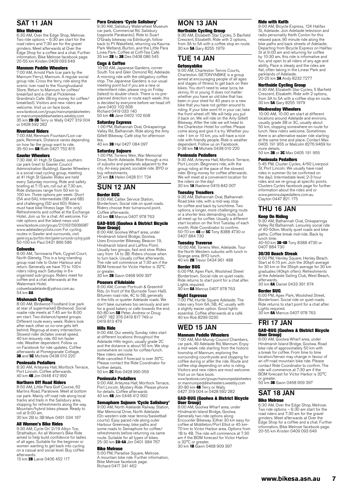# SAT 11 JAN

#### Bike Melrose

6:30 AM, Over the Edge Shop, Melrose. Two ride options – 6:30 am start for the road riders and 7:30 am for the gravel grinders. Meet afterwards at Over the Edge Shop for a coffee and a chat. Further information, Bike Melrose facebook page. 20-55 km Kristen 0409 093 649

#### Mannum Peddle Wheelers

7:00 AM, Arnold Park (car park by the Mannum Ferry), Mannum. A regular social group ride. Cross the ferry, ride along the scenic river road to the Younghusband Store. Return to Mannum for coffee/ breakfast and a chat at Picklemee Grandma's Cafe. (Bring money for coffee/ breakfast). Visitors and new riders are welcome. Visit us on face book. www.facebook.com/groups/mannumpedalwheelers or mannumpeddlewheelers.weebly.com<br>35 km **2B-3B** Terry or Wally 0427 319 004 or 0428 592 282

#### Riverland Riders

7:00 AM, Renmark Fountain/Lion car park, Renmark. Distance varies depending on how far the group want to ride.<br>35-50 km **6B** Ruth 0427 752 815

#### Gawler Wheelers

7:30 AM, 41 High St Gawler, southern car park (next to Gawler Council Administration Building). Gawler Wheelers is a social road cycling group, meeting at 41 High St Gawler. Rides are held every Saturday morning. Ride and safety briefing at 7:15 am, roll out at 7.30 am. Ride distances range from 50 km to 100 km. Three options per week: Short (5A and 6A), Intermediate (5B and 6B) and challenging (5D and 6D). Riders must have bike fitness (age 16+ only) Refreshments and coffee at the Exchange Hotel. Join us for a chat. All welcome. For ride options and the latest news visit www.facebook.com/groups/210163156066987 www.adelaidecyclists.com For cycling routes in Gawler and surrounds, visit gawler.org.au/portfolio-item/gawler-surrounds-cycling-guide 50-100 km Paul 0431 866 586

#### **Cobwebs**

8:00 AM, Tarniwarra Park, Cygnet Court, North Glenelg. This is a long-standing group road ride to Outer Harbour and return. Generally we have 70 to 100+ riders riding each Saturday in 6+ organised sub-groups. Riders meet for coffee and a chat afterwards at the Watermark Hotel

[cobwebsadelaide@yahoo.com.au](mailto:cobwebsadelaide@yahoo.com.au ) 54 km 6A

**Mishmash Cycling**<br>8:00 AM, Birdwood Foodland (car park<br>at rear of supermarket) Birdwood. Social roadie ride meets at 7:45 am for 8:00 am start. Two distance/speed groups. Different route every week. Riders look after each other so no-one gets left behind. Regroup at every intersection. Slowest rider dictates overall speed. 40 km leisurely ride, 60 km faster ride. Weather dependent. Follow us on Facebook for ride updates. Coffee afterwards at Pomegranate Cottage.<br>**3B** and **5C** Michele 0438 010 220

#### Peninsula Pedallers

8:30 AM, Arteyrea Hall, Mortlock Terrace,<br>Port Lincoln. Coffee afterwards.<br>40 km **4B** Jim 0448 412 992

#### Northern Off Road Riders

8:50 AM, Little Para Golf Course, 62 Martins Road, Paralowie. Meet at bottom car park. Mainly off road ride along local tracks and trails in the Salisbury area, stopping for refreshments along the way. Mountain/hybrid bikes please. Ready to roll at 9:00 am. 30 km 2B to 3B Mark 0491 034 167

All Women's Bike Rides

9:30 AM, Cycle On' 2/19 Albyn Tce, Strathalbyn. An all Women's Bike Ride aimed to help build confidence for ladies of all ages. Suitable for the beginner or women wanting to get back into cycling on a casual and social level. Buy coffee afterwards.

15 km 2B Lanie 0406 452 117

#### Para Cruizers 'Cycle Salisbury'

9:30 AM, Salisbury Waterwheel Museum car park, Commercial Rd. Salisbury (opposite Parabanks). Ride to Suart O'Grady bikeway via Edinburgh, follow back to Pt Wakefield, returning via Kaurna Park Wetland, Burton, and the Little Para Linea Park. Coffee at Coff-Tea Café. Einea Park. Corree at Con-Tea Care<br>35 km **2B** to **3B** Des 0408 086 545

#### Cogs & Coffee

10:00 AM, Japanese Gardens, corner South Tce and Glen Osmond Rd, Adelaide. A morning ride with the obligatory coffee stop. The Japanese Gardens is our usual meeting point but if you are a new or intermittent rider, please ring on Friday (latest) to double-check. There is no preplanned direction or route each week; this is decided by everyone before we head off. Jane 0402 102 608 Richard 0419 033 140

50 km 4B Jane 0402 102 608

#### Saturday Express

1:00 PM, Balhannah Oval, Onkaparinga Valley Rd, Balhannah. Ride along the Amy Gillett Bikeway. Café stop for afternoon tea.

10 km **3B** Hal 0427 084 097

### Saturday Sojourn

1:00 PM, Torrens Weir, War Memorial Drive, North Adelaide. Ride through a mix of suburbs and parklands adjacent to the city. An easy paced, sociable ride. BYO or buy refreshments.<br>25 km **2A** Helen 0428 511 724

#### SUN 12 JAN Border BUG

8:00 AM, Caltex Service Station, Bordertown. Social ride on quiet roads. Riders choose their turnaround point. Coffee afterwards. 40 km 6B Marcus 0407 978 763

#### GAD-BUG (Goolwa & District Bicycle User Group)

8:00 AM, Goolwa Wharf area, under Hindmarsh Island Bridge, Goolwa. Uses Encounter Bikeway, Beacon 19, Hindmarsh Island and Laffins Point. Usually two groups, fast and slow. Rides vary from 1A to 3B. Riders choose when to turn back. Usually coffee afterwards. The ride will commence at 7:30 am if the BOM forecast for Victor Harbor is 32°C

or greater.<br>30 km **2B** Gavin 0468 909 397

#### Poseurs d'Adelaide

8:00 AM, Corner Portrush & Greenhill Rds. (in front of the Burnside Town Hall). Bitumen road ride, 4C to 5B, generally in the hills or quieter Adelaide roads. We don't take ourselves too seriously and aim for a good bakery or cafe towards the end.<br>60-80 km **5B** Peter, Andrew or Doug<br>0407 182 376 0419 817 749 or<br>0419 813 479

#### Hills Ride

9:00 AM, Our weekly Sunday rides start at different locations throughout the Adelaide Hills region, usually grade 2C and the distance is about 50 km. We stop somewhere en route for coffee/lunch. New riders welcome. Ride cancelled if forecast is over 35°C. Please contact the Ride Coordinator for further details.

50 km 2C Rob 0428 990 059

#### Peninsula Pedallers

9:00 AM, Arteyrea Hall, Mortlock Terrace, Port Lincoln. Mystery Ride. Please phone for details. Coffee afterwards 40 km 4B Jim 0448 412 992

Semaphore Sojourn 'Cycle Salisbury'<br>9:00 AM, North Adelaide Railway Station, War Memorial Drive, North Adelaide. (On western side near tennis/basketball courts). Easy paced ride along outer Harbour Greenway, bike paths and some roads to Semaphore for coffee/ refreshments before returning via same route. Suitable for all types of bikes.<br>25-30 km 2A-4A Jim 0401 984 767

#### Bike Melrose

5:00 PM, Paradise Square, Melrose. A mountain bike ride. Further information, Bike Melrose facebook page. Richard 0417 341 462

# MON 13 JAN

#### Northside Cycling Group

9:30 AM, Elizabeth Star Cycles, 5 Barfield Crescent, Elizabeth. Ride with 2 options, from 3A to 5A with a coffee stop en route.<br>30 km **5A** Gary 8255 1979

### TUE 14 JAN

#### **Getonyabike**

9:00 AM, Charleston Tennis Courts, Charleston. GETONYABIKE is a group aimed at encouraging people of all ages and stages of fitness to get back on their bikes. You don't need to wear lycra, be skinny, fit or young. It does not matter whether you have an old bike that has been in your shed for 40 years or a new bike that you have not gotten around to riding. If your bike wont fit in your car, take the front wheel off. We will help you put it back on. We will ride on the Amy Gillett Bikeway. After the ride we will head to the Charleston Hotel for coffee. Please come along and give it a try. Whether you ride 1 km or 10 km, you will have a nice ride with friendly people. Ride is weather dependent. Follow us on Facebook. 0-38 km 1A Michele 0438 010 220

#### Peninsula Pedallers

9:30 AM, Arteyrea Hall, Mortlock Terrace, Port Lincoln. Beginners ride, with the group riding at the pace of the slowest rider. Bring money for coffee afterwards. We will meet at a convenient location for the riders on the day!<br>30 km **1A** Raelene 0419 842 007

#### Tuesday Treadlers

9:30 AM, Balhannah Oval, Balhannah. Road bike ride, with a mid-way stop for coffee and back by lunchtime. Two options, a longer, more challenging route or a shorter less demanding route, but all meet up for coffee. Usually a different start location on the first Tuesday of each month. Ride Coordinator to confirm. 50-70 km **4B** or **5C** Tony 8388 4730 or<br>0407 884 730

**Tuesday Traverse**<br>10:00 AM, Torrens Weir, Adelaide. Tour<br>the North Western suburbs with lunch in Grange area. BYO lunch. 40 km 2B Trevor 0434 961 488

#### Border BUG

6:00 PM, Apex Park, Woolshed Street Bordertown. Social ride on quiet roads. Border town: Social ride on quiet roads.<br>Ride returns to start point for a chat after. Lights required.<br>30 km **6A** Marcus 0407 978 763

**Night Espresso**<br>7:00 PM, Hurtle Square Adelaide. The<br>rides vary from 6A, 5B, 4C usually with a slightly easier option. Good lights essential. Coffee afterwards at a café. 40 km Rob 8299 0230

#### WED 15 JAN Mannum Peddle Wheelers

7:00 AM, Mid-Murray Council Chambers, car park, 49 Adelaide Rd, Mannum. Enjoy a mid-week ride starting from the historic township of Mannum, exploring the surrounding countryside and stopping for coffee during or after the ride. Route and coffee stop depending on who is riding. Visitors and new riders are most welcome. Visit us on face book. www.facebook.com/groups/mannumpedalwheelers

or mannumpeddlewheelers.weebly.com<br>30-80 km **4B** Terry or Wally<br>0427 319 004 or 0428 592 282

## GAD-BUG (Goolwa & District Bicycle **User Group)**<br>8:00 AM, Goolwa Wharf area, under

Hindmarsh Island Bridge, Goolwa. Generally two ride options along Encounter Bikeway. Either 30 km easy for coffee at Middleton/Port Elliot or 45 km-70 km to Victor Harbor area. Options from 1B to 4B. The ride will commence at 7:30 am if the BOM forecast for Victor Harbor is 32°C or greater.<br>30 km **1B** Gavin 0468 909 397

#### Ride with Keith

9:00 AM, Bicycle Express, 124 Halifax St, Adelaide. Join Adelaide television and radio personality Keith Conlon for this relaxed pace, 90 minute ride along the bike paths and back streets of Adelaide. Departing from Bicycle Express on Halifax St at 9:00 am and returning for coffee by 10:30 am, this ride is informative and fun, and open to all riders of any age and ability. Pace is steady and the rides are flat, often taking in the Linear Park and<br>parklands of Adelaide.<br>20-25 km **3A** Andy 8232 7277

### Northside Cycling Group

9:30 AM, Elizabeth Star Cycles, 5 Barfield Crescent, Elizabeth. Ride with 2 options, from 3A to 5A with a coffee stop en route. 30 km 5A Gary 8255 1979

#### Wednesday Wheelers

10:00 AM, 10:00 am start at different locations around Adelaide and environs, usually grade 3B or 3C, usually about 50 km, stopping somewhere en route for lunch. New riders welcome. Sometimes there is an alternative easier ride starting at the same time and place. Contact Max 0405 191 955 or Malcolm 8276 9469 for more details.

50 km 3B or 3C Max 0405 191 955

#### Peninsula Pedallers

5:45 PM, Cluster Cycles, 4/60 Liverpool St, Port Lincoln. We usually have road rides in summer (to be confirmed on the day). Intermediate level, 2-3 hour rides and we re-group at specific points. Clusters Cycles facebook page for further information about the rides and or www.peninsulapedallers.com.au Clayton 0447 821 175

# THU 16 JAN

Keep On Riding 9:30 AM, Balhannah Oval, Onkaparinga Valley Rd Balhannah. Leisurely social ride of 40-50km. Mostly quiet roads and bike paths. Coffee break mid-ride. Back by lunch time.<br>40-50 km **3B-4B** Tony 8388 4730 or

0407 884 730

#### 30/30 Beach Streak

6:00 PM, Henley Square, Henley Beach. Start at 6:15 pm. Join the 30kph average for 30 km or the 35kph average for 30 km graduates (40kph often). Refreshments at the Adelaide Sailing Club, West Beach, afterwards.

30 km 6A Daniel 0433 391 674

#### Border BUG

6:00 PM, Apex Park, Woolshed Street, Bordertown. Social ride on quiet roads. Ride returns to start point for a chat after. Lights required. 30 km 6A Marcus 0407 978 763

# FRI 17 JAN

# GAD-BUG (Goolwa & District Bicycle

User Group) 8:00 AM, Goolwa Wharf area, under Hindmarsh Island Bridge, Goolwa. Road bike ride of approximately 50 km with a break for coffee. From time to time location/terrain may change in favour of an off-road mountain bike ride. Please contact Ride Coordinator to confirm. The ride will commence at 7:30 am if the BOM forecast for Victor Harbor is 32°C or greater.<br>50 km **3B** Gavin 0468 909 397

### SAT 18 JAN Bike Melrose

6:30 AM, Over the Edge Shop, Melrose. Two ride options – 6:30 am start for the road riders and 7:30 am for the gravel grinders. Meet afterwards at Over the Edge Shop for a coffee and a chat. Further information, Bike Melrose facebook page. 20-55 km Kristen 0409 093 649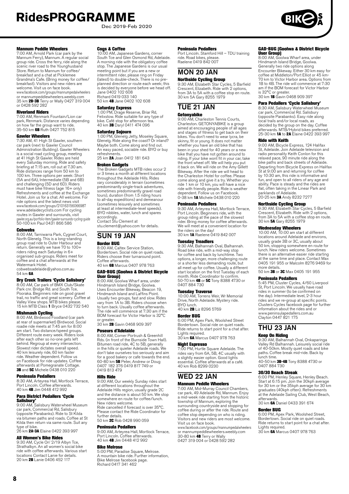Dec 2019-Feb 2020

#### Mannum Peddle Wheelers

7:00 AM, Arnold Park (car park by the Mannum Ferry), Mannum. A regular social group ride. Cross the ferry, ride along the scenic river road to the Younghusband Store. Return to Mannum for coffee/ breakfast and a chat at Picklemee Grandma's Cafe. (Bring money for coffee/ breakfast). Visitors and new riders are welcome. Visit us on face book. www.facebook.com/groups/mannumpedalwheelers

or mannumpeddlewheelers.weebly.com<br>35 km **2B-3B** Terry or Wally 0427 319 004 or 0428 592 282

#### Riverland Riders

7:00 AM, Renmark Fountain/Lion car park, Renmark. Distance varies depending on how far the group want to ride. 35-50 km 6B Ruth 0427 752 815

**Gawler Wheelers**<br>7:30 AM, 41 High St Gawler, southern<br>car park (next to Gawler Council Administration Building). Gawler Wheelers is a social road cycling group, meeting at 41 High St Gawler. Rides are held every Saturday morning. Ride and safety briefing at 7:15 am, roll out at 7.30 am. Ride distances range from 50 km to 100 km. Three options per week: Short (5A and 6A), Intermediate (5B and 6B) and challenging (5D and 6D). Riders must have bike fitness (age 16+ only) Refreshments and coffee at the Exchange Hotel. Join us for a chat. All welcome. For ride options and the latest news visit www.facebook.com/groups/210163156066987 www.adelaidecyclists.com For cycling routes in Gawler and surrounds, visit gawler.org.au/portfolio-item/gawler-surrounds-cycling-guide 50-100 km Paul 0431 866 586

**Cobwebs**<br>8:00 AM, Tarniwarra Park, Cygnet Court, North Glenelg. This is a long-standing group road ride to Outer Harbour and return. Generally we have 70 to 100+ riders riding each Saturday in 6+ organised sub-groups. Riders meet for coffee and a chat afterwards at the Watermark Hotel. cobwebsadelaide@yahoo.com.au

54 km **6A** 

**Dry Creek Trailers 'Cycle Salisbury'**<br>8:00 AM, Car park of BMX Club/Skate<br>Park cnr. Bridge Rd. and South Tce, Pooraka. Beginners ride on good gravel trail, no traffic and great scenery. Coffee at<br>Valley View shops. MTB bikes please.<br>15 km MTB Class **1** Bryce 0432 732 540

**Mishmash Cycling**<br>8:00 AM, Birdwood Foodland (car park<br>at rear of supermarket) Birdwood. Social roadie ride meets at 7:45 am for 8:00 am start. Two distance/speed groups. Different route every week. Riders look after each other so no-one gets left behind. Regroup at every intersection. Slowest rider dictates overall speed. 40 km leisurely ride, 60 km faster ride. Weather dependent. Follow us on Facebook for ride updates. Coffee afterwards at Pomegranate Cottage.<br>**3B** and **5C** Michele 0438 010 220

#### Peninsula Pedallers

8:30 AM, Arteyrea Hall, Mortlock Terrace, Port Lincoln. Coffee afterwards. 40 km 4B Jim 0448 412 992

**Para District Pedallers 'Cycle**<br>**Salisbury'**<br>9:00 AM, Salisbury Waterwheel Museum car park, Commercial Rd, Salisbury (opposite Parabanks). Ride to St Kilda via bitumen paths and roads. Coffee at St Kilda then return via same route. Suit any

type of bike.<br>26 km **2A-3A** Elaine 0422 393 997

#### All Women's Bike Rides

9:30 AM, Cycle On' 2/19 Albyn Tce, Strathalbyn. An all women's social bike ride with coffee afterwards. Various start locations Contact Lanie for details.<br>20 km **2B** Lanie 0406 452 117

#### Cogs & Coffee

10:00 AM, Japanese Gardens, corner South Tce and Glen Osmond Rd, Adelaide. A morning ride with the obligatory coffee stop. The Japanese Gardens is our usual meeting point but if you are a new or intermittent rider, please ring on Friday (latest) to double-check. There is no preplanned direction or route each week; this is decided by everyone before we head off. Jane 0402 102 608 Richard 0419 033 140 50 km 4B Jane 0402 102 608

#### Saturday Express

1:00 PM, Drage Reserve, Briar Rd, Felixstow. Ride suitable for any type of bike. Café stop for afternoon tea. 40 km 3B Daryl 0411 474 096

#### Saturday Sojourn

1:00 PM, Glenelg Jetty, Moseley Square, Glenelg. Ride along the coast? Or inland? Maybe both. Come along and find out. An easy paced, sociable ride. BYO or buy refreshments. 25 km **2A** Joan 0412 181 643

#### Broken Gadgets

The Broken Gadgets MTB rides occur 2 or 3 times a month at different locations throughout the Adelaide Hills. Rides vary considerably in terrain (sometimes predominantly single-track adventures, sometimes predominantly gravel road tours), duration (from 1.5 riding hours to all-day expeditions) and demeanour (sometimes leisurely and sometimes at least at intermediate-level speeds). BYO nibbles, water, lunch and spares accordingly. Contact Stu Clement at

[stu.clement@yahoo.com](mailto:stu.clement@yahoo.com) for details.

# SUN 19 JAN

Border BUG 8:00 AM, Caltex Service Station, Bordertown. Social ride on quiet roads. Riders choose their turnaround point. Coffee afterwards. 40 km 6B Marcus 0407 978 763

#### GAD-BUG (Goolwa & District Bicycle User Group)

8:00 AM, Goolwa Wharf area, under Hindmarsh Island Bridge, Goolwa. Uses Encounter Bikeway, Beacon 19, Hindmarsh Island and Laffins Point. Usually two groups, fast and slow. Rides vary from 1A to 3B. Riders choose when to turn back. Usually coffee afterwards. The ride will commence at 7:30 am if the BOM forecast for Victor Harbor is 32°C

or greater.<br>30 km **2B** Gavin 0468 909 397

#### Poseurs d'Adelaide

8:00 AM, Corner Portrush & Greenhill Rds. (in front of the Burnside Town Hall). Bitumen road ride, 4C to 5B, generally in the hills or quieter Adelaide roads. We don't take ourselves too seriously and aim for a good bakery or cafe towards the end. 60-80 km 5B Peter, Andrew or Doug 0407 182 376 0419 817 749 or 0419 813 479

#### Hills Ride

9:00 AM, Our weekly Sunday rides start at different locations throughout the Adelaide Hills region, usually grade 2C and the distance is about 50 km. We stop somewhere en route for coffee/lunch. New riders welcome. Ride cancelled if forecast is over 35°C. Please contact the Ride Coordinator for

further details. 50 km **2C** Rob 0428 990 059

#### Peninsula Pedallers

9:00 AM, Arteyrea Hall, Mortlock Terrace,<br>Port Lincoln. Coffee afterwards.<br>40 km **4B** Jim 0448 412 992

#### Bike Melrose

5:00 PM, Paradise Square, Melrose. A mountain bike ride. Further information, Bike Melrose facebook page. Richard 0417 341 462

#### Peninsula Pedallers

Port Lincoln. Stamford Hill – TDU training ride. Road bikes, please. Raelene 0419 842 007

# MON 20 JAN

**Northside Cycling Group**<br>9:30 AM, Elizabeth Star Cycles, 5 Barfield<br>Crescent, Elizabeth. Ride with 2 options,<br>from 3A to 5A with a coffee stop en route. 30 km 5A Gary 8255 1979

# TUE 21 JAN

Getonyabike

9:00 AM, Charleston Tennis Courts, Charleston. GETONYABIKE is a group aimed at encouraging people of all ages and stages of fitness to get back on their bikes. You don't need to wear lycra, be skinny, fit or young. It does not matter whether you have an old bike that has been in your shed for 40 years or a new bike that you have not gotten around to riding. If your bike wont fit in your car, take the front wheel off. We will help you put it back on. We will ride on the Amy Gillett Bikeway. After the ride we will head to the Charleston Hotel for coffee. Please come along and give it a try. Whether you ride 1 km or 10 km, you will have a nice ride with friendly people. Ride is weather dependent. Follow us on Facebook. 0-38 km **1A** Michele 0438 010 220

#### Peninsula Pedallers

9:30 AM, Arteyrea Hall, Mortlock Terrace, Port Lincoln. Beginners ride, with the group riding at the pace of the slowest rider. Bring money for coffee afterwards. We will meet at a convenient location for the riders on the day! 30 km 1A Raelene 0419 842 007

**Tuesday Treadlers**<br>9:30 AM, Balhannah Oval, Balhannah. Road bike ride, with a mid-way stop for coffee and back by lunchtime. Two options, a longer, more challenging route or a shorter less demanding route, but all meet up for coffee. Usually a different start location on the first Tuesday of each month. Ride Coordinator to confirm.<br>50-70 km **4B** or **5C** Tony 8388 4730 or 0407 884 730

#### Tuesday Traverse

10:00 AM, Torrens Weir, Wr Memorial Drive, North Adelaide. Mystery ride. BYO lunch. 40 km 2B Liz 8296 5769

#### Border BUG

6:00 PM, Apex Park, Woolshed Street Bordertown. Social ride on quiet roads. Ride returns to start point for a chat after. Lights required.

30 km 6A Marcus 0407 978 763

#### Night Espresso

7:00 PM, Hurtle Square Adelaide. The rides vary from 6A, 5B, 4C usually with a slightly easier option. Good lights essential. Coffee afterwards at a café. 40 km Rob 8299 0230

### WED 22 JAN Mannum Peddle Wheelers

7:00 AM, Mid-Murray Council Chambers, car park, 49 Adelaide Rd, Mannum. Enjoy a mid-week ride starting from the historic township of Mannum, exploring the surrounding countryside and stopping for coffee during or after the ride. Route and coffee stop depending on who is riding. Visitors and new riders are most welcome. Visit us on face book.

www.facebook.com/groups/mannumpedalwheelers or mannumpeddlewheelers.weebly.com 30-80 km **4B** Terry or Wally<br>0427 319 004 or 0428 592 282

### GAD-BUG (Goolwa & District Bicycle **User Group)**<br>8:00 AM. Goo

.<br>Wharf area, under Hindmarsh Island Bridge, Goolwa. Generally two ride options along Encounter Bikeway. Either 30 km easy for coffee at Middleton/Port Elliot or 45 km-70 km to Victor Harbor area. Options from 1B to 4B. The ride will commence at 7:30 am if the BOM forecast for Victor Harbor is 32°C or greater.<br>30 km **1B** Gavin 0468 909 397

### Para Pedallers 'Cycle Salisbury'

8:30 AM, Salisbury Waterwheel Museum car park, Commercial Rd. Salisbury (opposite Parabanks). Easy ride along local trails and/or local roads, as decided by the group on the day. Coffee afterwards. MTB/Hybrid bikes preferred. 25-30 km 1A to 2A Elaine 0422 393 997

#### Ride with Keith

9:00 AM, Bicycle Express, 124 Halifax St, Adelaide. Join Adelaide television and radio personality Keith Conlon for this relaxed pace, 90 minute ride along the bike paths and back streets of Adelaide. Departing from Bicycle Express on Halifax St at 9:00 am and returning for coffee by 10:30 am, this ride is informative and fun, and open to all riders of any age and ability. Pace is steady and the rides are flat, often taking in the Linear Park and<br>parklands of Adelaide.<br>20-25 km **3A** Andy 8232 7277

#### Northside Cycling Group

9:30 AM, Elizabeth Star Cycles, 5 Barfield Crescent, Elizabeth. Ride with 2 options, from 3A to 5A with a coffee stop en route. 30 km 5A Gary 8255 1979

#### Wednesday Wheelers

10:00 AM, 10:00 am start at different locations around Adelaide and environs, usually grade 3B or 3C, usually about 50 km, stopping somewhere en route for lunch. New riders welcome. Sometimes there is an alternative easier ride starting at the same time and place. Contact Max 0405 191 955 or Malcolm 8276 9469 for more details.

50 km 3B or 3C Max 0405 191 955

#### Peninsula Pedallers

5:45 PM, Cluster Cycles, 4/60 Liverpool St, Port Lincoln. We usually have road rides in summer (to be confirmed on the day). Intermediate level, 2-3 hour rides and we re-group at specific points. Clusters Cycles facebook page for further information about the rides and or www.peninsulapedallers.com.au Clayton 0447 821 175

### THU 23 JAN

#### Keep On Riding

9:30 AM, Balhannah Oval, Onkaparinga Valley Rd Balhannah. Leisurely social ride of 40-50km. Mostly quiet roads and bike paths. Coffee break mid-ride. Back by lunch time.<br>40-50 km **3B-4B** Tony 8388 4730 or 0407 884 730

30/30 Beach Streak

6:00 PM, Henley Square, Henley Beach. Start at 6:15 pm. Join the 30kph average for 30 km or the 35kph average for 30 km graduates (40kph often). Refreshments at the Adelaide Sailing Club, West Beach, afterwards. 30 km 6A Daniel 0433 391 674

### Border BUG

6:00 PM, Apex Park, Woolshed Street, Bordertown. Social ride on quiet roads. Ride returns to start point for a chat after. Lights required. 30 km 6A Marcus 0407 978 763

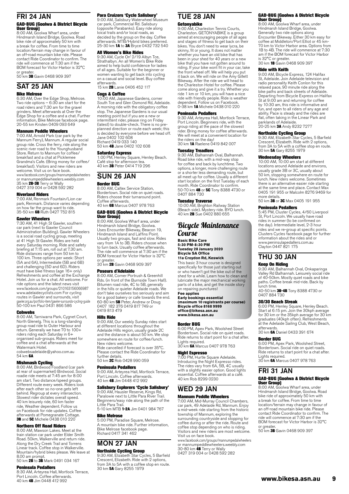#### FRI 24 JAN GAD-BUG (Goolwa & District Bicycle User Group)

8:00 AM, Goolwa Wharf area, under Hindmarsh Island Bridge, Goolwa. Road bike ride of approximately 50 km with a break for coffee. From time to time location/terrain may change in favour of an off-road mountain bike ride. Please contact Ride Coordinator to confirm. The ride will commence at 7:30 am if the BOM forecast for Victor Harbor is 32°C

or greater.<br>50 km **3B** Gavin 0468 909 397

# SAT 25 JAN

#### Bike Melrose

6:30 AM, Over the Edge Shop, Melrose. Two ride options – 6:30 am start for the road riders and 7:30 am for the gravel grinders. Meet afterwards at Over the Edge Shop for a coffee and a chat. Further information, Bike Melrose facebook page. 20-55 km Kristen 0409 093 649

#### Mannum Peddle Wheelers

7:00 AM, Arnold Park (car park by the Mannum Ferry), Mannum. A regular social group ride. Cross the ferry, ride along the scenic river road to the Younghusband Store. Return to Mannum for coffee/ breakfast and a chat at Picklemee Grandma's Cafe. (Bring money for coffee/ breakfast). Visitors and new riders are welcome. Visit us on face book. www.facebook.com/groups/mannumpedalwheelers

or mannumpeddlewheelers.weebly.com 35 km **2B-3B** Terry or Wally<br>0427 319 004 or 0428 592 282

#### Riverland Riders

7:00 AM, Renmark Fountain/Lion car park, Renmark. Distance varies depending on how far the group want to ride.<br>35-50 km **6B** Ruth 0427 752 815

#### Gawler Wheelers

7:30 AM, 41 High St Gawler, southern car park (next to Gawler Council Administration Building). Gawler Wheelers is a social road cycling group, meeting at 41 High St Gawler. Rides are held every Saturday morning. Ride and safety briefing at 7:15 am, roll out at 7.30 am. Ride distances range from 50 km to 100 km. Three options per week: Short (5A and 6A), Intermediate (5B and 6B) and challenging (5D and 6D). Riders must have bike fitness (age 16+ only) Refreshments and coffee at the Exchange Hotel. Join us for a chat. All welcome. For ride options and the latest news visit www.facebook.com/groups/210163156066987 www.adelaidecyclists.com For cycling routes in Gawler and surrounds, visit gawler.org.au/portfolio-item/gawler-surrounds-cycling-guide 50-100 km Paul 0431 866 586

#### **Cobwebs**

8:00 AM, Tarniwarra Park, Cygnet Court, North Glenelg. This is a long-standing group road ride to Outer Harbour and return. Generally we have 70 to 100+ riders riding each Saturday in 6+ organised sub-groups. Riders meet for coffee and a chat afterwards at the Watermark Hotel. cobwebsadelaide@yahoo.com.au

54 km 6A

**Mishmash Cycling**<br>8:00 AM, Birdwood Foodland (car park at rear of supermarket) Birdwood. Social roadie ride meets at 7:45 am for 8:00 am start. Two distance/speed groups. Different route every week. Riders look after each other so no-one gets left behind. Regroup at every intersection. Slowest rider dictates overall speed. 40 km leisurely ride, 60 km faster ride. Weather dependent. Follow us on Facebook for ride updates. Coffee afterwards at Pomegranate Cottage. **3B** and 5C Michele 0438 010 220

#### Northern Off Road Riders

8:00 AM, Mawson Lakes. Meet at the train station car park under Elder Smith Road. 50km, Walkerville and return ride. Along the Dry Creek Trail and Torrens Linear track. Coffee stop in Walkerville. Mountain/hybrid bikes please. We leave at 8.00 am prompt. 50 km 2B to 3B Mark 0491 034 167

# Peninsula Pedallers

8:30 AM, Arteyrea Hall, Mortlock Terrace, Port Lincoln. Coffee afterwards. 40 km 4B Jim 0448 412 992

#### Para Cruizers 'Cycle Salisbury'

9:00 AM, Salisbury Waterwheel Museum car park, Commercial Rd. Salisbury (opposite Parabanks). Easy ride along loical trails and/or local roads, as decided by the group on the day. Coffee afterwards. MTB/Hybrid bikes preferred. 25-30 km 1A to 3A Bryce 0432 732 540

#### All Women's Bike Rides

9:30 AM, Cycle On' 2/19 Albyn Tce, Strathalbyn. An all Women's Bike Ride aimed to help build confidence for ladies of all ages. Suitable for the beginner or women wanting to get back into cycling on a casual and social level. Buy coffee afterwards.

15 km **2B** Lanie 0406 452 117

#### Cogs & Coffee

10:00 AM, Japanese Gardens, corner South Tce and Glen Osmond Rd, Adelaide. A morning ride with the obligatory coffee stop. The Japanese Gardens is our usual meeting point but if you are a new or intermittent rider, please ring on Friday (latest) to double-check. There is no pre-planned direction or route each week; this is decided by everyone before we head off. Jane 0402 102 608 Richard 0419 033 140

50 km 4B Jane 0402 102 608

#### Saturday Express

1:00 PM, Henley Square, Henley Beach. Café stop for afternoon tea. 40 km 3B Peter 0414 719 296

# SUN 26 JAN

### Border BUG

8:00 AM, Caltex Service Station, Bordertown. Social ride on quiet roads. Riders choose their turnaround point. Coffee afterwards. 40 km 6B Marcus 0407 978 763

# GAD-BUG (Goolwa & District Bicycle

User Group) 8:00 AM, Goolwa Wharf area, under Hindmarsh Island Bridge, Goolwa. Uses Encounter Bikeway, Beacon 19, Hindmarsh Island and Laffins Point. Usually two groups, fast and slow. Rides vary from 1A to 3B. Riders choose when to turn back. Usually coffee afterwards. The ride will commence at 7:30 am if the BOM forecast for Victor Harbor is 32°C or greater.

30 km 2B Gavin 0468 909 397

#### Poseurs d'Adelaide

8:00 AM, Corner Portrush & Greenhill Rds. (in front of the Burnside Town Hall). Bitumen road ride, 4C to 5B, generally in the hills or quieter Adelaide roads. We don't take ourselves too seriously and aim for a good bakery or cafe towards the end. 60-80 km **5B** Peter, Andrew or Doug<br>0407 182 376 0419 817 749 or<br>0419 813 479

#### Hills Ride

9:00 AM, Our weekly Sunday rides start at different locations throughout the Adelaide Hills region, usually grade 2C and the distance is about 50 km. We stop somewhere en route for coffee/lunch. New riders welcome. Ride cancelled if forecast is over 35°C. Please contact the Ride Coordinator for further details. 50 km 2C Rob 0428 990 059

### Peninsula Pedallers

9:00 AM, Arteyrea Hall, Mortlock Terrace, Port Lincoln. Coffee afterwards. 40 km 4B Jim 0448 412 992

#### Salisbury Explorers 'Cycle Salisbury'

9:00 AM, Hausler Reserve, Kings Rd, Paralowie next to Little Para River Trail. Beginners/easy ride along the path of the Little Para Trail. 5-10 km MTB 1-2A Jim 0401 984 767

Bike Melrose

5:00 PM, Paradise Square, Melrose. A mountain bike ride. Further information, Bike Melrose facebook page. Richard 0417 341 462

### MON 27 JAN Northside Cycling Group

9:30 AM, Elizabeth Star Cycles, 5 Barfield Crescent, Elizabeth. Ride with 2 options, from 3A to 5A with a coffee stop en route. 30 km 5A Gary 8255 1979

# TUE 28 JAN

#### Getonyabike

9:00 AM, Charleston Tennis Courts, Charleston. GETONYABIKE is a group aimed at encouraging people of all ages and stages of fitness to get back on their bikes. You don't need to wear lycra, be skinny, fit or young. It does not matter whether you have an old bike that has been in your shed for 40 years or a new bike that you have not gotten around to riding. If your bike wont fit in your car, take the front wheel off. We will help you put it back on. We will ride on the Amy Gillett Bikeway. After the ride we will head to the Charleston Hotel for coffee. Please come along and give it a try. Whether you ride 1 km or 10 km, you will have a nice ride with friendly people. Ride is weather dependent. Follow us on Facebook. 0-38 km **1A** Michele 0438 010 220

#### Peninsula Pedallers

9:30 AM, Arteyrea Hall, Mortlock Terrace, Port Lincoln. Beginners ride, with the group riding at the pace of the slowest rider. Bring money for coffee afterwards. We will meet at a convenient location for the riders on the day!<br>30 km **1A** Raelene 0419 842 007

#### Tuesday Treadlers

9:30 AM, Balhannah Oval, Balhannah. Road bike ride, with a mid-way stop for coffee and back by lunchtime. Two options, a longer, more challenging route or a shorter less demanding route, but all meet up for coffee. Usually a different start location on the first Tuesday of each month. Ride Coordinator to confirm.<br>50-70 km **4B** or **5C** Tony 8388 4730 or 0407 884 730

#### Tuesday Traverse

10:00 AM, Brighton Railway Station (Beach side). Mystery ride. BYO lunch. 40 km 2B Sue 0402 880 655

# Bicycle Maintenance Course

**Basic Bike Care 5:30 PM-8:30 PM Tuesday 28 January 2020 Bicycle SA Office 11a Croydon Rd, Keswick**

# This basic 3 hour course is designed

specifically for those just starting out or who haven't got the bike out of the shed for a while. Learn how to clean and lubricate the major mechanical working parts of a bike, and get the inside story on repairing punctures! **Fee applies**

**Early bookings essential (maximum 10 registrants per course) Bicycle office 8168 9999 office@bikesa.asn.au [www.bikesa.asn.au](http://www.bikesa.asn.au)**

#### Border BUG

6:00 PM, Apex Park, Woolshed Street Bordertown. Social ride on quiet roads. Ride returns to start point for a chat after. Lights required.<br>30 km **6A** Marcus 0407 978 763

#### Night Espresso

7:00 PM, Hurtle Square Adelaide. Introducing the Night Expresso rides. The rides vary from 6A, 5B, 4C usually with a slightly easier option. Good lights essential. Coffee afterwards at a café. 40 km Rob 8299 0230

# WED 29 JAN

# Mannum Peddle Wheelers

7:00 AM, Mid-Murray Council Chambers, car park, 49 Adelaide Rd, Mannum. Enjoy a mid-week ride starting from the historic township of Mannum, exploring the surrounding countryside and stopping for coffee during or after the ride. Route and coffee stop depending on who is riding. Visitors and new riders are most welcome. Visit us on face book.

www.facebook.com/groups/mannumpedalwheelers or mannumpeddlewheelers.weebly.com 30-80 km **4B** Terry or Wally<br>0427 319 004 or 0428 592 282

#### GAD-BUG (Goolwa & District Bicycle User Group)

8:00 AM, Goolwa Wharf area, under Hindmarsh Island Bridge, Goolwa. Generally two ride options along Encounter Bikeway. Either 30 km easy for coffee at Middleton/Port Elliot or 45 km-70 km to Victor Harbor area. Options from 1B to 4B. The ride will commence at 7:30 am if the BOM forecast for Victor Harbor is 32°C or greater.<br>30 km **1B** Gavin 0468 909 397

Ride with Keith

9:00 AM, Bicycle Express, 124 Halifax St, Adelaide. Join Adelaide television and radio personality Keith Conlon for this relaxed pace, 90 minute ride along the bike paths and back streets of Adelaide. Departing from Bicycle Express on Halifax St at 9:00 am and returning for coffee by 10:30 am, this ride is informative and fun, and open to all riders of any age and ability. Pace is steady and the rides are flat, often taking in the Linear Park and parklands of Adelaide. 20-25 km 3A Andy 8232 7277

# Northside Cycling Group

9:30 AM, Elizabeth Star Cycles, 5 Barfield Crescent, Elizabeth. Ride with 2 options, from 3A to 5A with a coffee stop en route. 30 km 5A Gary 8255 1979

Wednesday Wheelers<br>10:00 AM, 10:00 am start at different locations around Adelaide and environs, usually grade 3B or 3C, usually about 50 km, stopping somewhere en route for lunch. New riders welcome. Sometimes there is an alternative easier ride starting at the same time and place. Contact Max 0405 191 955 or Malcolm 8276 9469 for more details.

50 km 3B or 3C Max 0405 191 955

#### Peninsula Pedallers

5:45 PM, Cluster Cycles, 4/60 Liverpool St, Port Lincoln. We usually have road rides in summer (to be confirmed on the day). Intermediate level, 2-3 hour rides and we re-group at specific points. Clusters Cycles facebook page for further information about the rides and or www.peninsulapedallers.com.au Clayton 0447 821 175

# THU 30 JAN

#### Keep On Riding

9:30 AM, Balhannah Oval, Onkaparinga Valley Rd Balhannah. Leisurely social ride of 40-50km. Mostly quiet roads and bike paths. Coffee break mid-ride. Back by

lunch time.<br>40-50 km **3B-4B** Tony 8388 4730 or<br>0407 884 730

#### 30/30 Beach Streak

6:00 PM, Henley Square, Henley Beach. Start at 6:15 pm. Join the 30kph average for 30 km or the 35kph average for 30 km graduates (40kph often). Refreshments at the Adelaide Sailing Club, West Beach, afterwards. 30 km 6A Daniel 0433 391 674

### Border BUG

6:00 PM, Apex Park, Woolshed Street, Bordertown. Social ride on quiet roads. Ride returns to start point for a chat after. Lights required. 30 km 6A Marcus 0407 978 763

# FRI 31 JAN GAD-BUG (Goolwa & District Bicycle

User Group) 8:00 AM, Goolwa Wharf area, under Hindmarsh Island Bridge, Goolwa. Road bike ride of approximately 50 km with a break for coffee. From time to time location/terrain may change in favour of an off-road mountain bike ride. Please contact Ride Coordinator to confirm. The ride will commence at 7:30 am if the BOM forecast for Victor Harbor is 32°C or greater.

50 km 3B Gavin 0468 909 397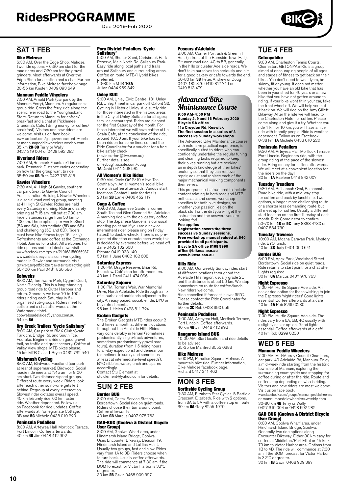Dec 2019-Feb 2020



# SAT 1 FEB

#### Bike Melrose

6:30 AM, Over the Edge Shop, Melrose. Two ride options – 6:30 am start for the road riders and 7:30 am for the gravel grinders. Meet afterwards at Over the Edge Shop for a coffee and a chat. Further information, Bike Melrose facebook page. 20-55 km Kristen 0409 093 649

**Mannum Peddle Wheelers**<br>7:00 AM, Arnold Park (car park by the<br>Mannum Ferry), Mannum. A regular social group ride. Cross the ferry, ride along the scenic river road to the Younghusband Store. Return to Mannum for coffee/ breakfast and a chat at Picklemee Grandma's Cafe. (Bring money for coffee/ breakfast). Visitors and new riders are welcome. Visit us on face book. wereome: visit as on race book. or mannumpeddlewheelers.weebly.com<br>35 km **2B-3B** Terry or Wally<br>0427 319 004 or 0428 592 282

#### Riverland Riders

7:00 AM, Renmark Fountain/Lion car park, Renmark. Distance varies depending on how far the group want to ride.<br>35-50 km **6B** Ruth 0427 752 815

#### Gawler Wheelers

7:30 AM, 41 High St Gawler, southern car park (next to Gawler Council Administration Building). Gawler Wheelers is a social road cycling group, meeting at 41 High St Gawler. Rides are held every Saturday morning. Ride and safety briefing at 7:15 am, roll out at 7.30 am. Ride distances range from 50 km to 100 km. Three options per week: Short (5A and 6A), Intermediate (5B and 6B) and challenging (5D and 6D). Riders must have bike fitness (age 16+ only) Refreshments and coffee at the Exchange Hotel. Join us for a chat. All welcome. For ride options and the latest news visit www.facebook.com/groups/210163156066987 www.adelaidecyclists.com For cycling routes in Gawler and surrounds, visit gawler.org.au/portfolio-item/gawler-surrounds-cycling-guide 50-100 km Paul 0431 866 586

**Cobwebs**<br>8:00 AM, Tarniwarra Park, Cygnet Court,<br>North Glenelg. This is a long-standing group road ride to Outer Harbour and return. Generally we have 70 to 100+ riders riding each Saturday in 6+ organised sub-groups. Riders meet for coffee and a chat afterwards at the Watermark Hotel. cobwebsadelaide@yahoo.com.au

 $54 \text{ km}$  GA

**Dry Creek Trailers 'Cycle Salisbury'**<br>8:00 AM, Car park of BMX Club/Skate<br>Park cnr. Bridge Rd. and South Tce, Pooraka. Beginners ride on good gravel trail, no traffic and great scenery. Coffee at<br>Valley View shops. MTB bikes please.<br>15 km MTB Class **1** Bryce 0432 732 540

#### Mishmash Cycling

8:00 AM, Birdwood Foodland (car park at rear of supermarket) Birdwood. Social roadie ride meets at 7:45 am for 8:00 am start. Two distance/speed groups. Different route every week. Riders look after each other so no-one gets left behind. Regroup at every intersection. Slowest rider dictates overall speed. 40 km leisurely ride, 60 km faster ride. Weather dependent. Follow us on Facebook for ride updates. Coffee afterwards at Pomegranate Cottage.<br>3B and **5C** Michele 0438 010 220

#### Peninsula Pedallers

8:30 AM, Arteyrea Hall, Mortlock Terrace, Port Lincoln. Coffee afterwards. 40 km 4B Jim 0448 412 992

#### Para District Pedallers 'Cycle

Salisbury' 9:00 AM, Shelter Shed, Carisbrook Park Reserve, Main North Rd, Salisbury Park. Easy ride along local paths and trails around Salisbury and surrounding areas. Coffee en route. MTB/Hybrid bikes preferred. 20-30 km MTB **1-3A**<br>Julian 0434 262 842

#### Unley BUG

9:00 AM, Unley Civic Centre, 181 Unley Rd, Unley. (meet in car park off Oxford St). Cycling in Historic Unley. A leisurely ride for those interested in the historic areas in the City of Unley. Suitable for all ages; families encouraged. Rides are planned for the first Saturday of the month. For those interested we will have coffee at La Scala Cafe, at the conclusion of the ride, around 10:30 am. If your bike has not been ridden for some time, contact the Ride Coordinator for a voucher for a free bike safety check (david.sutton@live.com.au) Further details see

unleybug1.wixsite.com/ubug 1A David 0411 268 582

#### All Women's Bike Rides

9:30 AM, Cycle On' 2/19 Albyn Tce, Strathalbyn. An all women's social bike ride with coffee afterwards. Various start locations Contact Lanie for details. 20 km 2B Lanie 0406 452 117

### **Coas & Coffee**

10:00 AM, Japanese Gardens, corner South Tce and Glen Osmond Rd, Adelaide. A morning ride with the obligatory coffee stop. The Japanese Gardens is our usual meeting point but if you are a new or intermittent rider, please ring on Friday (latest) to double-check. There is no preplanned direction or route each week; this is decided by everyone before we head off. Jane 0402 102 608 Richard 0419 033 140 50 km 1 Jane 0402 102 608

**Saturday Express<br>1:00 PM, Drage Reserve, Briar Rd,<br>Felixstow. Café stop for afternoon tea.<br>40 km 1 Daryl 0411 474 096** 

**Saturday Sojourn**<br>1:00 PM, Torrens Weir, War Memorial<br>Drive, North Adelaide. Ride through a mix of suburbs and parklands adjacent to the city. An easy paced, sociable ride. BYO or buy refreshments. 25 km 1 Helen 0428 511 724

## Broken Gadgets

The Broken Gadgets MTB rides occur 2 or 3 times a month at different locations throughout the Adelaide Hills. Rides vary considerably in terrain (sometimes predominantly single-track adventures, sometimes predominantly gravel road tours), duration (from 1.5 riding hours to all-day expeditions) and demeanour (sometimes leisurely and sometimes at least at intermediate-level speeds). BYO nibbles, water, lunch and spares accordingly. Contact Stu Clement at

[stu.clement@yahoo.com](mailto:stu.clement@yahoo.com) for details.

# SUN 2 FEB

### Border BUG

8:00 AM, Caltex Service Station, Bordertown. Social ride on quiet roads. Riders choose their turnaround point. Coffee afterwards. 40 km 6B Marcus 0407 978 763

# GAD-BUG (Goolwa & District Bicycle

User Group) 8:00 AM, Goolwa Wharf area, under Hindmarsh Island Bridge, Goolwa. Uses Encounter Bikeway, Beacon 19, Hindmarsh Island and Laffins Point. Usually two groups, fast and slow. Rides vary from 1A to 3B. Riders choose when to turn back. Usually coffee afterwards. The ride will commence at 7:30 am if the BOM forecast for Victor Harbor is 32°C or greater.<br>30 km **2B** Gavin 0468 909 397

#### Poseurs d'Adelaide

8:00 AM, Corner Portrush & Greenhill Rds. (in front of the Burnside Town Hall). Bitumen road ride, 4C to 5B, generally in the hills or quieter Adelaide roads. We don't take ourselves too seriously and aim for a good bakery or cafe towards the end.<br>60-80 km **5B** Peter, Andrew or Doug 0407 182 376 0419 817 749 or 0419 813 479

# Advanced Bike Maintenance Course

**9:00 AM-4:00 PM Sunday 2, 9 and 16 February 2020 Bicycle SA office 11a Croydon Rd, Keswick The first session in a series of 3** 

**successive Sunday workshops**  The Advanced Bike Maintenance course,

with extensive practical experience, is specifically suited to riders who can confidently undertake the regular tuning and cleaning tasks required to keep their bikes running but are seeking an in depth knowledge of their bikes' anatomy so that they can remove, repair, adjust and replace each of the major mechanical working components themselves.

This programme is structured to include content relating to both road and MTB enthusiasts and covers workshop specifics for both bike designs, so whether your passion lies on the black stuff or the dirt you will get the instruction and the answers you are looking for!

#### **Fee applies**

**Registration covers the three successive Sunday sessions. Free workshop manual valued at \$40 provided to all participants. Bicycle SA office 8168 9999 office@bikesa.asn.au www.bikesa.asn.au**

#### Hills Ride

9:00 AM, Our weekly Sunday rides start at different locations throughout the Adelaide Hills region, usually grade 2C and the distance is about 50 km. We stop somewhere en route for coffee/lunch. New riders welcome. Ride cancelled if forecast is over 35°C. Please contact the Ride Coordinator for further details. 50 km 2C Rob 0428 990 059

Peninsula Pedallers

9:00 AM, Arteyrea Hall, Mortlock Terrace, Port Lincoln. Coffee afterwards. 40 km 4B Jim 0448 412 992

#### Kangaroo Island BUG

10:00 AM, Start location and ride details to be advised. 25-35 km Manfred 8553 0383

#### Bike Melrose

5:00 PM, Paradise Square, Melrose. A mountain bike ride. Further information, Bike Melrose facebook page. Richard 0417 341 462

# MON 3 FEB

**Northside Cycling Group**<br>9:30 AM, Elizabeth Star Cycles, 5 Barfield Crescent, Elizabeth. Ride with 2 options, from 3A to 5A with a coffee stop en route. 30 km 5A Gary 8255 1979

# TUE 4 FFR

Getonyabike 9:00 AM, Charleston Tennis Courts, Charleston. GETONYABIKE is a group aimed at encouraging people of all ages and stages of fitness to get back on their bikes. You don't need to wear lycra, be skinny, fit or young. It does not matter whether you have an old bike that has been in your shed for 40 years or a new bike that you have not gotten around to riding. If your bike wont fit in your car, take the front wheel off. We will help you put it back on. We will ride on the Amy Gillett Bikeway. After the ride we will head to the Charleston Hotel for coffee. Please come along and give it a try. Whether you ride 1 km or 10 km, you will have a nice ride with friendly people. Ride is weather dependent. Follow us on Facebook. 0-38 km 1A Michele 0438 010 220

#### Peninsula Pedallers

9:30 AM, Arteyrea Hall, Mortlock Terrace, Port Lincoln. Beginners ride, with the group riding at the pace of the slowest rider. Bring money for coffee afterwards. We will meet at a convenient location for the riders on the day! 30 km 1A Raelene 0419 842 007

**Tuesday Treadlers**<br>9:30 AM, Balhannah Oval, Balhannah.<br>Road bike ride, with a mid-way stop for coffee and back by lunchtime. Two options, a longer, more challenging route or a shorter less demanding route, but all meet up for coffee. Usually a different start location on the first Tuesday of each month. Ride Coordinator to confirm. 50-70 km 4B or 5C Tony 8388 4730 or 0407 884 730

Tuesday Traverse<br>10:00 AM, Moana Caravan Park. Mystery ride. BYO lunch.<br>40 km **2B** Judy 0401 000 641

Border BUG

#### 6:00 PM, Apex Park, Woolshed Street Bordertown. Social ride on quiet roads. Ride returns to start point for a chat after. Lights required.

30 km 6A Marcus 0407 978 763

### Night Espresso

7:00 PM, Hurtle Square Adelaide. An easier ride option for those wishing to join the Espresso 'night riders' Good lights essential. Coffee afterwards at a café 40 km 4A Rob 8299 0230

#### Night Espresso

7:00 PM, Hurtle Square Adelaide. The rides vary from 6A, 5B, 4C usually with a slightly easier option. Good lights essential. Coffee afterwards at a café. 40 km Rob 8299 0230

# WED 5 FEB

### Mannum Peddle Wheelers

7:00 AM, Mid-Murray Council Chambers, car park, 49 Adelaide Rd, Mannum. Enjoy a mid-week ride starting from the historic township of Mannum, exploring the surrounding countryside and stopping for coffee during or after the ride. Route and coffee stop depending on who is riding. Visitors and new riders are most welcome. Visit us on face book. www.facebook.com/groups/mannumpedalwheelers or mannumpeddlewheelers.weebly.com

30-80 km 4B Terry or Wally 0427 319 004 or 0428 592 282

# **GAD-BUG (Goolwa & District Bicycle<br><b>User Group)**<br>8:00 AM, Goolwa Wharf area, under

Hindmarsh Island Bridge, Goolwa. Generally two ride options along Encounter Bikeway. Either 30 km easy for coffee at Middleton/Port Elliot or 45 km-70 km to Victor Harbor area. Options from 1B to 4B. The ride will commence at 7:30 am if the BOM forecast for Victor Harbor is 32°C or greater.<br>30 km **1B** Gavin 0468 909 397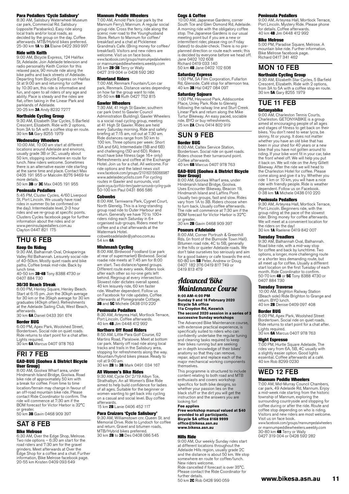**Para Pedallers 'Cycle Salisbury'**<br>8:30 AM, Salisbury Waterwheel Museum<br>car park, Commercial Rd. Salisbury (opposite Parabanks). Easy ride along local trails and/or local roads, as decided by the group on the day. Coffee<br>afterwards. MTB/Hybrid bikes preferred.<br>25-30 km **1A** to **2A** Elaine 0422 393 997

#### Ride with Keith

9:00 AM, Bicycle Express, 124 Halifax St, Adelaide. Join Adelaide television and radio personality Keith Conlon for this relaxed pace, 90 minute ride along the bike paths and back streets of Adelaide. Departing from Bicycle Express on Halifax St at 9:00 am and returning for coffee by 10:30 am, this ride is informative and fun, and open to all riders of any age and ability. Pace is steady and the rides are<br>flat, often taking in the Linear Park and<br>parklands of Adelaide.<br>20-25 km **3A** Andy 8232 7277

# Northside Cycling Group

9:30 AM, Elizabeth Star Cycles, 5 Barfield Crescent, Elizabeth. Ride with 2 options, from 3A to 5A with a coffee stop en route.<br>30 km **5A** Gary 8255 1979

#### Wednesday Wheelers

10:00 AM, 10:00 am start at different locations around Adelaide and environs, usually grade 3B or 3C, usually about 50 km, stopping somewhere en route for lunch. New riders welcome. Sometimes there is an alternative easier ride starting at the same time and place. Contact Max 0405 191 955 or Malcolm 8276 9469 for more details.

50 km 3B or 3C Max 0405 191 955

#### Peninsula Pedallers

5:45 PM, Cluster Cycles, 4/60 Liverpool St, Port Lincoln. We usually have road rides in summer (to be confirmed on the day). Intermediate level, 2-3 hour rides and we re-group at specific points. Clusters Cycles facebook page for further information about the rides and or www.peninsulapedallers.com.au Clayton 0447 821 175

### THU 6 FEB

**Keep On Riding**<br>9:30 AM, Balhannah Oval, Onkaparinga Valley Rd Balhannah. Leisurely social ride of 40-50km. Mostly quiet roads and bike paths. Coffee break mid-ride. Back by lunch time.<br>40-50 km **3B-4B** Tony 8388 4730 or

0407 884 730

#### 30/30 Beach Streak

6:00 PM, Henley Square, Henley Beach. Start at 6:15 pm. Join the 30kph average for 30 km or the 35kph average for 30 km graduates (40kph often). Refreshments at the Adelaide Sailing Club, West Beach, afterwards.

30 km 6A Daniel 0433 391 674

#### Border BUG

6:00 PM, Apex Park, Woolshed Street, Bordertown. Social ride on quiet roads. Ride returns to start point for a chat after. Lights required.

30 km 6A Marcus 0407 978 763

### FRI 7 FEB

### GAD-BUG (Goolwa & District Bicycle **User Group)**<br>8:00 AM, Goolwa Wharf area, under

Hindmarsh Island Bridge, Goolwa. Road bike ride of approximately 50 km with a break for coffee. From time to time location/terrain may change in favour of an off-road mountain bike ride. Please contact Ride Coordinator to confirm. The ride will commence at 7:30 am if the BOM forecast for Victor Harbor is 32°C

or greater.<br>50 km **3B** Gavin 0468 909 397

# SAT 8 FEB

#### Bike Melrose

6:30 AM, Over the Edge Shop, Melrose. Two ride options – 6:30 am start for the road riders and 7:30 am for the gravel grinders. Meet afterwards at Over the Edge Shop for a coffee and a chat. Further information, Bike Melrose facebook page. 20-55 km Kristen 0409 093 649

#### Mannum Peddle Wheelers

7:00 AM, Arnold Park (car park by the Mannum Ferry), Mannum. A regular social group ride. Cross the ferry, ride along the group ride: cross are ferry, ride dierig a Store. Return to Mannum for coffee/ breakfast and a chat at Picklemee Grandma's Cafe. (Bring money for coffee/ breakfast). Visitors and new riders are welcome. Visit us on face book. www.facebook.com/groups/mannumpedalwheelers or mannumpeddlewheelers.weebly.com<br>35 km **2B-3B** Terry or Wally 0427 319 004 or 0428 592 282

#### Riverland Riders

7:00 AM, Renmark Fountain/Lion car park, Renmark. Distance varies depending on how far the group want to ride. 35-50 km 6B Ruth 0427 752 815

### Gawler Wheelers

7:30 AM, 41 High St Gawler, southern car park (next to Gawler Council Administration Building). Gawler Wheelers is a social road cycling group, meeting at 41 High St Gawler. Rides are held every Saturday morning. Ride and safety briefing at 7:15 am, roll out at 7.30 am. Ride distances range from 50 km to 100 km. Three options per week: Short (5A and 6A), Intermediate (5B and 6B) and challenging (5D and 6D). Riders must have bike fitness (age 16+ only) Refreshments and coffee at the Exchange Hotel. Join us for a chat. All welcome. For ride options and the latest news visit www.facebook.com/groups/210163156066987 www.adelaidecyclists.com For cycling routes in Gawler and surrounds, visit<br>gawler.org.au/portfolio-item/gawler-surrounds-cycling-guide gawler.org.au/portfolio-item/gawler-surrounds-cycling-guide 50-100 km Paul 0431 866 586

#### **Cobwebs**

8:00 AM, Tarniwarra Park, Cygnet Court, North Glenelg. This is a long-standing group road ride to Outer Harbour and return. Generally we have 70 to 100+ riders riding each Saturday in 6+ organised sub-groups. Riders meet for coffee and a chat afterwards at the Watermark Hotel. cobwebsadelaide@yahoo.com.au

54 km 6A

### Mishmash Cycling

8:00 AM, Birdwood Foodland (car park at rear of supermarket) Birdwood. Social roadie ride meets at 7:45 am for 8:00 am start. Two distance/speed groups. Different route every week. Riders look after each other so no-one gets left behind. Regroup at every intersection. Slowest rider dictates overall speed. 40 km leisurely ride, 60 km faster ride. Weather dependent. Follow us on Facebook for ride updates. Coffee afterwards at Pomegranate Cottage. 3B and 5C Michele 0438 010 220

#### Peninsula Pedallers

8:30 AM, Arteyrea Hall, Mortlock Terrace, Port Lincoln. Coffee afterwards. 40 km 4B Jim 0448 412 992

**Northern Off Road Riders**<br>8:50 AM, Little Para Golf Course, 62 Martins Road, Paralowie. Meet at bottom car park. Mainly off road ride along local tracks and trails in the Salisbury area, stopping for refreshments along the way. Mountain/hybrid bikes please. Ready to roll at 9:00 am.

30 km 2B to 3B Mark 0491 034 167

### All Women's Bike Rides

9:30 AM, Cycle On' 2/19 Albyn Tce, Strathalbyn. An all Women's Bike Ride aimed to help build confidence for ladies of all ages. Suitable for the beginner or women wanting to get back into cycling on a casual and social level. Buy coffee afterwards.

15 km **2B** Lanie 0406 452 117

#### Para Cruizers 'Cycle Salisbury'

9:30 AM, Williamstown cnr. Queen St. and Memorial Drive. Ride to Lyndoch for coffee and return. Gravel and bitumen roads, MTB/Hybrid bikes preferred.<br>30 km 2B to 3B Des 0408 086 545

Cogs & Coffee<br>10:00 AM, Japanese Gardens, corner South Tce and Glen Osmond Rd, Adelaide. A morning ride with the obligatory coffee stop. The Japanese Gardens is our usual meeting point but if you are a new or intermittent rider, please ring on Friday (latest) to double-check. There is no preplanned direction or route each week; this is decided by everyone before we head off. Jane 0402 102 608 Richard 0419 033 140

50 km 4B Jane 0402 102 608

### Saturday Express

1:00 PM, SA Film Corporation, Fullarton Rd, Glenside. Café stop for afternoon tea.<br>40 km **3B** Hal 0427 084 097

#### Saturday Sojourn

1:00 PM, Heywood Park, Addiscombe Place, Unley Park. Ride to Glenelg following the railway line and Sturt Creek Linear Park and return along the Mike Turtur Bikeway. An easy paced, sociable ride. BYO or buy refreshments. 25 km 2A Chris 0414 802 919

#### SUN 9 FEB Border BUG

8:00 AM, Caltex Service Station, Bordertown. Social ride on quiet roads. Riders choose their turnaround point.

#### Coffee afterwards. 40 km 6B Marcus 0407 978 763 GAD-BUG (Goolwa & District Bicycle

User Group) 8:00 AM, Goolwa Wharf area, under Hindmarsh Island Bridge, Goolwa. Uses Encounter Bikeway, Beacon 19, Hindmarsh Island and Laffins Point. Usually two groups, fast and slow. Rides vary from 1A to 3B. Riders choose when to turn back. Usually coffee afterwards. The ride will commence at 7:30 am if the BOM forecast for Victor Harbor is 32°C or greater.

30 km 2B Gavin 0468 909 397

#### Poseurs d'Adelaide

8:00 AM, Corner Portrush & Greenhill Rds. (in front of the Burnside Town Hall). Bitumen road ride, 4C to 5B, generally in the hills or quieter Adelaide roads. We don't take ourselves too seriously and aim for a good bakery or cafe towards the end. 60-80 km 5B Peter, Andrew or Doug 0407 182 376 0419 817 749 or 0419 813 479

# Advanced Bike Maintenance Course

**9:00 AM-4:00 PM Sunday 9 and 16 February 2020 Bicycle SA office 11a Croydon Rd, Keswick The second 2020 session in a series of 3** 

**successive Sunday workshops**  The Advanced Bike Maintenance course,

with extensive practical experience, is specifically suited to riders who can confidently undertake the regular tuning and cleaning tasks required to keep their bikes running but are seeking an in depth knowledge of their bikes' anatomy so that they can remove, repair, adjust and replace each of the major mechanical working components themselves.

This programme is structured to include content relating to both road and MTB enthusiasts and covers workshop specifics for both bike designs, so whether your passion lies on the black stuff or the dirt you will get the instruction and the answers you are looking for! **Fee applies**

#### **Free workshop manual valued at \$40 provided to all participants. Bicycle SA office 8168 9999 office@bikesa.asn.au www.bikesa.asn.au**

#### Hills Ride

9:00 AM, Our weekly Sunday rides start at different locations throughout the Adelaide Hills region, usually grade 2C and the distance is about 50 km. We stop somewhere en route for coffee/lunch. New riders welcome. Ride cancelled if forecast is over 35°C. Please contact the Ride Coordinator for further details. 50 km 2C Rob 0428 990 059

#### Peninsula Pedallers

9:00 AM, Arteyrea Hall, Mortlock Terrace, Port Lincoln. Mystery Ride. Please phone for details. Coffee afterwards. 40 km 4B Jim 0448 412 992

#### Bike Melrose

5:00 PM, Paradise Square, Melrose. A mountain bike ride. Further information, Bike Melrose facebook page. Richard 0417 341 462

### MON 10 FEB Northside Cycling Group

9:30 AM, Elizabeth Star Cycles, 5 Barfield Crescent, Elizabeth. Ride with 2 options, from 3A to 5A with a coffee stop en route. 30 km 5A Gary 8255 1979

### TUE 11 FEB **Getonyabike**

9:00 AM, Charleston Tennis Courts, Charleston. GETONYABIKE is a group aimed at encouraging people of all ages and stages of fitness to get back on their bikes. You don't need to wear lycra, be skinny, fit or young. It does not matter whether you have an old bike that has been in your shed for 40 years or a new bike that you have not gotten around to riding. If your bike wont fit in your car, take the front wheel off. We will help you put it back on. We will ride on the Amy Gillett Bikeway. After the ride we will head to the Charleston Hotel for coffee. Please come along and give it a try. Whether you ride 1 km or 10 km, you will have a nice ride with friendly people. Ride is weather dependent. Follow us on Facebook 0-38 km 1A Michele 0438 010 220

#### Peninsula Pedallers

9:30 AM, Arteyrea Hall, Mortlock Terrace, Port Lincoln. Beginners ride, with the group riding at the pace of the slowest rider. Bring money for coffee afterwards. We will meet at a convenient location for the riders on the day! 30 km 1A Raelene 0419 842 007

### Tuesday Treadlers

9:30 AM, Balhannah Oval, Balhannah. Road bike ride, with a mid-way stop for coffee and back by lunchtime. Two options, a longer, more challenging route or a shorter less demanding route, but all meet up for coffee. Usually a different start location on the first Tuesday of each month. Ride Coordinator to confirm. 50-70 km 4B or 5C Tony 8388 4730 or 0407 884 730

#### Tuesday Traverse

10:00 AM, Brighton Railway Station (Beach side) Ride Brighton to Grange and return. BYO lunch. 40 km 2B Denise 0409 097 408

Border BUG

6:00 PM, Apex Park, Woolshed Street Bordertown. Social ride on quiet roads. Ride returns to start point for a chat after. Lights required.<br>30 km **6A** Marcus 0407 978 763

### Night Espresso

7:00 PM, Hurtle Square Adelaide. The rides vary from 6A, 5B, 4C usually with a slightly easier option. Good lights essential. Coffee afterwards at a café. 40 km Rob 8299 0230

#### WED 12 FEB Mannum Peddle Wheelers

7:00 AM, Mid-Murray Council Chambers, car park, 49 Adelaide Rd, Mannum. Enjoy a mid-week ride starting from the historic township of Mannum, exploring the surrounding countryside and stopping for coffee during or after the ride. Route and coffee stop depending on who is riding. Visitors and new riders are most welcome. Visit us on face book.

www.facebook.com/groups/mannumpedalwheelers or mannumpeddlewheelers.weebly.com 30-80 km 4B Terry or Wally 0427 319 004 or 0428 592 282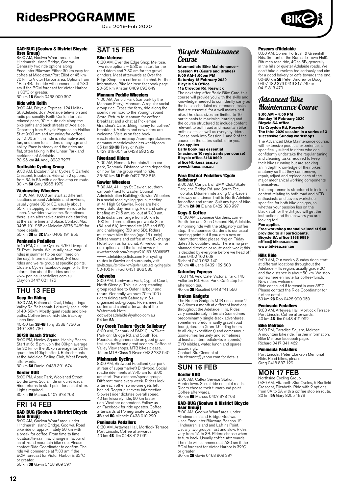Dec 2019-Feb 2020

### GAD-BUG (Goolwa & District Bicycle **User Group)**<br>8:00 AM. God

.<br>Wharf area, under Hindmarsh Island Bridge, Goolwa. Generally two ride options along Encounter Bikeway. Either 30 km easy for coffee at Middleton/Port Elliot or 45 km-70 km to Victor Harbor area. Options from 1B to 4B. The ride will commence at 7:30 am if the BOM forecast for Victor Harbor is 32°C or greater.<br>30 km **1B** Gavin 0468 909 397

#### Ride with Keith

9:00 AM, Bicycle Express, 124 Halifax St, Adelaide. Join Adelaide television and radio personality Keith Conlon for this relaxed pace, 90 minute ride along the bike paths and back streets of Adelaide. Departing from Bicycle Express on Halifax St at 9:00 am and returning for coffee by 10:30 am, this ride is informative and fun, and open to all riders of any age and ability. Pace is steady and the rides are flat, often taking in the Linear Park and parklands of Adelaide.<br>20-25 km **3A** Andy 8232 7277

# Northside Cycling Group

9:30 AM, Elizabeth Star Cycles, 5 Barfield Crescent, Elizabeth. Ride with 2 options, from 3A to 5A with a coffee stop en route. 30 km 5A Gary 8255 1979

#### Wednesday Wheelers

10:00 AM, 10:00 am start at different locations around Adelaide and environs, usually grade 3B or 3C, usually about 50 km, stopping somewhere en route for lunch. New riders welcome. Sometimes there is an alternative easier ride starting at the same time and place. Contact Max 0405 191 955 or Malcolm 8276 9469 for more details. 50 km 3B or 3C Max 0405 191 955

#### Peninsula Pedallers

5:45 PM, Cluster Cycles, 4/60 Liverpool St, Port Lincoln. We usually have road rides in summer (to be confirmed on the day). Intermediate level, 2-3 hour rides and we re-group at specific points. Clusters Cycles facebook page for further information about the rides and or www.peninsulapedallers.com.au Clayton 0447 821 175

# THU 13 FEB

### Keep On Riding

9:30 AM, Balhannah Oval, Onkaparinga Valley Rd Balhannah. Leisurely social ride of 40-50km. Mostly quiet roads and bike paths. Coffee break mid-ride. Back by lunch time.<br>40-50 km **3B-4B** Tony 8388 4730 or

0407 884 730

### 30/30 Beach Streak

6:00 PM, Henley Square, Henley Beach. Start at 6:15 pm. Join the 30kph average for 30 km or the 35kph average for 30 km graduates (40kph often). Refreshments at the Adelaide Sailing Club, West Beach, afterwards.

30 km 6A Daniel 0433 391 674

#### Border BUG

6:00 PM, Apex Park, Woolshed Street, Bordertown. Social ride on quiet roads. Border town. Social ride on quiet reduct.<br>Ride returns to start point for a chat after. Lights required. 30 km 6A Marcus 0407 978 763

# FRI 14 FEB

#### GAD-BUG (Goolwa & District Bicycle User Group)

8:00 AM, Goolwa Wharf area, under Hindmarsh Island Bridge, Goolwa. Road bike ride of approximately 50 km with a break for coffee. From time to time location/terrain may change in favour of an off-road mountain bike ride. Please contact Ride Coordinator to confirm. The ride will commence at 7:30 am if the BOM forecast for Victor Harbor is 32°C or greater.

50 km 3B Gavin 0468 909 397

# SAT 15 FFB

#### Bike Melrose

6:30 AM, Over the Edge Shop, Melrose. Two ride options – 6:30 am start for the road riders and 7:30 am for the gravel grinders. Meet afterwards at Over the Edge Shop for a coffee and a chat. Further information, Bike Melrose facebook page. 20-55 km Kristen 0409 093 649

## Mannum Peddle Wheelers

7:00 AM, Arnold Park (car park by the Mannum Ferry), Mannum. A regular social group ride. Cross the ferry, ride along the scenic river road to the Younghusband Store. Return to Mannum for coffee/ breakfast and a chat at Picklemee Grandma's Cafe. (Bring money for coffee/ breakfast). Visitors and new riders are welcome. Visit us on face book. www.facebook.com/groups/mannumpedalwheelers or mannumpeddlewheelers.weebly.com<br>35 km **2B-3B** Terry or Wally<br>0427 319 004 or 0428 592 282

#### Riverland Riders

7:00 AM, Renmark Fountain/Lion car park, Renmark. Distance varies depending on how far the group want to ride. 35-50 km 6B Ruth 0427 752 815

#### Gawler Wheelers

7:30 AM, 41 High St Gawler, southern car park (next to Gawler Council Administration Building). Gawler Wheelers is a social road cycling group, meeting at 41 High St Gawler. Rides are held every Saturday morning. Ride and safety briefing at 7:15 am, roll out at 7.30 am. Ride distances range from 50 km to 100 km. Three options per week: Short (5A and 6A), Intermediate (5B and 6B) and challenging (5D and 6D). Riders must have bike fitness (age 16+ only) Refreshments and coffee at the Exchange Hotel. Join us for a chat. All welcome. For ride options and the latest news visit www.facebook.com/groups/210163156066987 www.adelaidecyclists.com For cycling routes in Gawler and surrounds, visit gawler.org.au/portfolio-item/gawler-surrounds-cycling-guide 50-100 km Paul 0431 866 586

#### Cobwebs

8:00 AM, Tarniwarra Park, Cygnet Court, North Glenelg. This is a long-standing group road ride to Outer Harbour and return. Generally we have 70 to 100+ riders riding each Saturday in 6+ organised sub-groups. Riders meet for coffee and a chat afterwards at the Watermark Hotel. cobwebsadelaide@yahoo.com.au

54 km 6A

# **Dry Creek Trailers 'Cycle Salisbury'**<br>8:00 AM, Car park of BMX Club/Skate

Park cnr. Bridge Rd. and South Tce, Pooraka. Beginners ride on good gravel trail, no traffic and great scenery. Coffee at Valley View shops. MTB bikes please. 15 km MTB Class 1 Bryce 0432 732 540

**Mishmash Cycling**<br>8:00 AM, Birdwood Foodland (car park<br>at rear of supermarket) Birdwood. Social<br>roadie ride meets at 7:45 am for 8:00 am start. Two distance/speed groups. Different route every week. Riders look after each other so no-one gets left behind. Regroup at every intersection. Slowest rider dictates overall speed. 40 km leisurely ride, 60 km faster ride. Weather dependent. Follow us on Facebook for ride updates. Coffee afterwards at Pomegranate Cottage. 3B and 5C Michele 0438 010 220

#### Peninsula Pedallers

8:30 AM, Arteyrea Hall, Mortlock Terrace, Port Lincoln. Coffee afterwards. 40 km 4B Jim 0448 412 992

### Bicycle Maintenance Course

**Intermediate Bike Maintenance – Session #1 (Gears and Brakes) 9:00 AM-1:00pm PM Saturday 15 February 2020 Bicycle SA Office 11a Croydon Rd, Keswick** 

The next step after Basic Bike Care, this course will provide you with the skills and knowledge needed to confidently carry out the basic scheduled maintenance tasks that are essential for a well maintained bike. The class sizes are limited to 10 participants to maximise learning and the course structured to include content relevant to both road and mountain bike enthusiasts, as well as everyday riders. Please book into Session 1 and 2 of the course on the dates suitable for you. **Fee applies**

**Early bookings essential (maximum 10 registrants per course) Bicycle office 8168 9999 office@bikesa.asn.au www.bikesa.asn.au**

**Para District Pedallers 'Cycle<br><b>Salisbury'**<br>9:00 AM, Car park of BMX Club/Skate Park, cnr. Bridge Rd. and South Tce, Pooraka. Bitumen ride along City-Levels Bikeway and Linear Trail to North Adelaide for coffee and return. Suit any type of bike.<br>25 km **2A-3A** Elaine 0422 393 997

#### Cogs & Coffee

10:00 AM, Japanese Gardens, corner South Tce and Glen Osmond Rd, Adelaide. A morning ride with the obligatory coffee stop. The Japanese Gardens is our usual meeting point but if you are a new or intermittent rider, please ring on Friday (latest) to double-check. There is no preplanned direction or route each week; this is decided by everyone before we head off. Jane 0402 102 608 Richard 0419 033 140

50 km 4B Jane 0402 102 608

#### Saturday Express

1:00 PM, Velo Café, Victoria Park, 140 Fullarton Rd, Rose Park. Café stop for afternoon tea. 40 km 3B Rosalind 0448 741 556

#### Broken Gadgets

The Broken Gadgets MTB rides occur 2 or 3 times a month at different locations throughout the Adelaide Hills. Rides vary considerably in terrain (sometimes predominantly single-track adventures, sometimes predominantly gravel road tours), duration (from 1.5 riding hours to all-day expeditions) and demeanour (sometimes leisurely and sometimes at least at intermediate-level speeds). BYO nibbles, water, lunch and spares accordingly. Contact Stu Clement at

[stu.clement@yahoo.com](mailto:stu.clement@yahoo.com) for details.

# SUN 16 FEB

## Border BUG

8:00 AM, Caltex Service Station, Bordertown. Social ride on quiet roads. Riders choose their turnaround point. Coffee afterwards. 40 km 6B Marcus 0407 978 763

# GAD-BUG (Goolwa & District Bicycle

User Group) 8:00 AM, Goolwa Wharf area, under Hindmarsh Island Bridge, Goolwa. Uses Encounter Bikeway, Beacon 19, Hindmarsh Island and Laffins Point. Usually two groups, fast and slow. Rides vary from 1A to 3B. Riders choose when to turn back. Usually coffee afterwards. The ride will commence at 7:30 am if the BOM forecast for Victor Harbor is 32°C or greater.<br>30 km **2B** Gavin 0468 909 397

#### Poseurs d'Adelaide

8:00 AM, Corner Portrush & Greenhill Rds. (in front of the Burnside Town Hall). Bitumen road ride, 4C to 5B, generally in the hills or quieter Adelaide roads. We don't take ourselves too seriously and aim for a good bakery or cafe towards the end.<br>60-80 km 5B Peter, Andrew or Doug 0407 182 376 0419 817 749 or 0419 813 479

# Advanced Bike Maintenance Course

**9:00 AM – 4:00 PM Sunday 16 February 2020 Bicycle SA office 11a Croydon Rd, Keswick**

#### **The third 2020 session in a series of 3 successive Sunday workshops**

The Advanced Bike Maintenance course, with extensive practical experience, is specifically suited to riders who can confidently undertake the regular tuning and cleaning tasks required to keep their bikes running but are seeking an in depth knowledge of their bikes' anatomy so that they can remove, repair, adjust and replace each of the major mechanical working components themselves.

This programme is structured to include content relating to both road and MTB enthusiasts and covers workshop specifics for both bike designs, so whether your passion lies on the black stuff or the dirt you will get the instruction and the answers you are looking for!

**Fee applies Free workshop manual valued at \$40 provided to all participants. Bicycle SA office 8168 9999 office@bikesa.asn.au www.bikesa.asn.au**

#### Hills Ride

9:00 AM, Our weekly Sunday rides start at different locations throughout the Adelaide Hills region, usually grade 2C and the distance is about 50 km. We stop somewhere en route for coffee/lunch. New riders welcome. Ride cancelled if forecast is over 35°C. Please contact the Ride Coordinator for

further details. 50 km 2C Rob 0428 990 059

**Peninsula Pedallers**<br>9:00 AM, Arteyrea Hall, Mortlock Terrace,<br>Port Lincoln. Coffee afterwards. 40 km 4B Jim 0448 412 992

#### Bike Melrose

5:00 PM, Paradise Square, Melrose. A mountain bike ride. Further information, Bike Melrose facebook page. Richard 0417 341 462

#### Peninsula Pedallers

Port Lincoln. Peter Clarkson Memorial Ride. Road bikes, please. Greg 0418 837 129

### MON 17 FEB

Northside Cycling Group 9:30 AM, Elizabeth Star Cycles, 5 Barfield Crescent, Elizabeth. Ride with 2 options, from 3A to 5A with a coffee stop en route. 30 km 5A Gary 8255 1979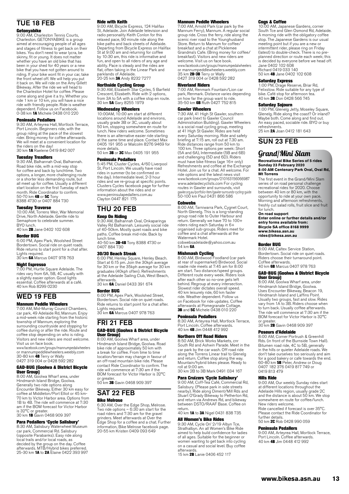# TUE 18 FEB

**Getonyabike**<br>9:00 AM, Charleston Tennis Courts, Charleston. GETONYABIKE is a group aimed at encouraging people of all ages and stages of fitness to get back on their bikes. You don't need to wear lycra, be skinny, fit or young. It does not matter whether you have an old bike that has been in your shed for 40 years or a new bike that you have not gotten around to riding. If your bike wont fit in your car, take the front wheel off. We will help you put it back on. We will ride on the Amy Gillett Bikeway. After the ride we will head to the Charleston Hotel for coffee. Please come along and give it a try. Whether you ride 1 km or 10 km, you will have a nice ride with friendly people. Ride is weather dependent. Follow us on Facebook. 0-38 km 1A Michele 0438 010 220

#### Peninsula Pedallers

9:30 AM, Arteyrea Hall, Mortlock Terrace, Port Lincoln. Beginners ride, with the group riding at the pace of the slowest rider. Bring money for coffee afterwards. We will meet at a convenient location for the riders on the day!<br>30 km **1A** Raelene 0419 842 007

**Tuesday Treadlers**<br>9:30 AM, Balhannah Oval, Balhannah. Road bike ride, with a mid-way stop for coffee and back by lunchtime. Two options, a longer, more challenging route or a shorter less demanding route, but all meet up for coffee. Usually a different start location on the first Tuesday of each month. Ride Coordinator to confirm.<br>50-70 km **4B** or **5C** Tony<br>8388 4730 or 0407 884 730

**Tuesday Traverse**<br>10:00 AM, Torrens Weir, War Memorial<br>Drive, North Adelaide. Gentle ride to Semaphore to celebrate summer. BYO lunch. 40 km 2B Jane 0402 102 608

# Border BUG

6:00 PM, Apex Park, Woolshed Street Bordertown. Social ride on quiet roads. Ride returns to start point for a chat after. Lights required. 30 km 6A Marcus 0407 978 763

#### Night Espresso

7:00 PM, Hurtle Square Adelaide. The rides vary from 6A, 5B, 4C usually with a slightly easier option. Good lights essential. Coffee afterwards at a café. 40 km Rob 8299 0230

# WED 19 FEB

#### Mannum Peddle Wheelers

7:00 AM, Mid-Murray Council Chambers, car park, 49 Adelaide Rd, Mannum. Enjoy a mid-week ride starting from the historic township of Mannum, exploring the surrounding countryside and stopping for coffee during or after the ride. Route and coffee stop depending on who is riding. Visitors and new riders are most welcome. Visit us on face book.

www.facebook.com/groups/mannumpedalwheelers or mannumpeddlewheelers.weebly.com<br>30-80 km **4B** Terry or Wally<br>0427 319 004 or 0428 592 282

#### GAD-BUG (Goolwa & District Bicycle User Group)

8:00 AM, Goolwa Wharf area, under Hindmarsh Island Bridge, Goolwa. Generally two ride options along Encounter Bikeway. Either 30 km easy for coffee at Middleton/Port Elliot or 45 km-70 km to Victor Harbor area. Options from 1B to 4B. The ride will commence at 7:30 am if the BOM forecast for Victor Harbor is 32°C or greater.<br>30 km **1B** Gavin 0468 909 397

#### Para Pedallers 'Cycle Salisbury'

8:30 AM, Salisbury Waterwheel Museum car park, Commercial Rd. Salisbury (opposite Parabanks). Easy ride along local trails and/or local roads, as decided by the group on the day. Coffee<br>afterwards. MTB/Hybrid bikes preferred.<br>25-30 km **1A** to **2A** Elaine 0422 393 997

#### Ride with Keith

9:00 AM, Bicycle Express, 124 Halifax St, Adelaide. Join Adelaide television and radio personality Keith Conlon for this relaxed pace, 90 minute ride along the bike paths and back streets of Adelaide. Departing from Bicycle Express on Halifax St at 9:00 am and returning for coffee by 10:30 am, this ride is informative and fun, and open to all riders of any age and ability. Pace is steady and the rides are flat, often taking in the Linear Park and parklands of Adelaide. 20-25 km 3A Andy 8232 7277

### Northside Cycling Group

9:30 AM, Elizabeth Star Cycles, 5 Barfield Crescent, Elizabeth. Ride with 2 options, from 3A to 5A with a coffee stop en route. 30 km 5A Gary 8255 1979

#### Wednesday Wheelers

10:00AM, 10:00 am start at different locations around Adelaide and environs, usually grade 3B or 3C, usually about 50 km, stopping somewhere en route for lunch. New riders welcome. Sometimes there is an alternative easier ride starting at the same time and place. Contact Max 0405 191 955 or Malcolm 8276 9469 for more details.

50 km 3B or 3C Max 0405 191 955

#### Peninsula Pedallers

5:45 PM, Cluster Cycles, 4/60 Liverpool St, Port Lincoln. We usually have road rides in summer (to be confirmed on the day). Intermediate level, 2-3 hour rides and we re-group at specific points. Clusters Cycles facebook page for further information about the rides and or www.peninsulapedallers.com.au Clayton 0447 821 175

# THU 20 FEB

### Keep On Riding

9:30 AM, Balhannah Oval, Onkaparinga Valley Rd Balhannah. Leisurely social ride of 40-50km. Mostly quiet roads and bike paths. Coffee break mid-ride. Back by

lunch time.<br>40-50 km **3B-4B** Tony 8388 4730 or 0407 884 730

#### 30/30 Beach Streak

6:00 PM, Henley Square, Henley Beach. Start at 6:15 pm. Join the 30kph average for 30 km or the 35kph average for 30 km graduates (40kph often). Refreshments at the Adelaide Sailing Club, West Beach, afterwards.

30 km 6A Daniel 0433 391 674

### Border BUG

6:00 PM, Apex Park, Woolshed Street, Bordertown. Social ride on quiet roads. Ride returns to start point for a chat after. Lights required.

30 km 6A Marcus 0407 978 763

# FRI 21 FEB GAD-BUG (Goolwa & District Bicycle

User Group) 8:00 AM, Goolwa Wharf area, under Hindmarsh Island Bridge, Goolwa. Road bike ride of approximately 50 km with a break for coffee. From time to time location/terrain may change in favour of an off-road mountain bike ride. Please contact Ride Coordinator to confirm. The ride will commence at 7:30 am if the BOM forecast for Victor Harbor is 32°C or greater.<br>50 km **3B** Gavin 0468 909 397

## SAT 22 FEB Bike Melrose

6:30 AM, Over the Edge Shop, Melrose. Two ride options – 6:30 am start for the road riders and 7:30 am for the gravel grinders. Meet afterwards at Over the Edge Shop for a coffee and a chat. Further information, Bike Melrose facebook page. 20-55 km Kristen 0409 093 649

#### Mannum Peddle Wheelers

7:00 AM, Arnold Park (car park by the Mannum Ferry), Mannum. A regular social group ride. Cross the ferry, ride along the scenic river road to the Younghusband Store. Return to Mannum for coffee/ breakfast and a chat at Picklemee Grandma's Cafe. (Bring money for coffee/ breakfast). Visitors and new riders are welcome. Visitors and new new www.facebook.com/groups/mannumpedalwheelers or mannumpeddlewheelers.weebly.com 35 km **2B-3B** Terry or Wally<br>0427 319 004 or 0428 592 282

**Riverland Riders**<br>7:00 AM, Renmark Fountain/Lion car park, Renmark. Distance varies depending on how far the group want to ride.<br>35-50 km **6B** Ruth 0427 752 815

#### Gawler Wheelers

7:30 AM, 41 High St Gawler, southern car park (next to Gawler Council Administration Building). Gawler Wheelers is a social road cycling group, meeting at 41 High St Gawler. Rides are held every Saturday morning. Ride and safety briefing at 7:15 am, roll out at 7.30 am. Ride distances range from 50 km to 100 km. Three options per week: Short (5A and 6A), Intermediate (5B and 6B) and challenging (5D and 6D). Riders must have bike fitness (age 16+ only) Refreshments and coffee at the Exchange Hotel. Join us for a chat. All welcome. For ride options and the latest news visit www.facebook.com/groups/210163156066987 www.adelaidecyclists.com For cycling routes in Gawler and surrounds, visit gawler.org.au/portfolio-item/gawler-surrounds-cycling-guide 50-100 km Paul 0431 866 586

#### **Cobwebs**

8:00 AM, Tarniwarra Park, Cygnet Court, North Glenelg. This is a long-standing group road ride to Outer Harbour and return. Generally we have 70 to 100+ riders riding each Saturday in 6+ organised sub-groups. Riders meet for coffee and a chat afterwards at the Watermark Hotel.

cobwebsadelaide@yahoo.com.au 54 km 6A

**Mishmash Cycling**<br>8:00 AM, Birdwood Foodland (car park<br>at rear of supermarket) Birdwood. Social roadie ride meets at 7:45 am for 8:00 am start. Two distance/speed groups. Different route every week. Riders look after each other so no-one gets left behind. Regroup at every intersection. Slowest rider dictates overall speed. 40 km leisurely ride, 60 km faster ride. Weather dependent. Follow us on Facebook for ride updates. Coffee afterwards at Pomegranate Cottage. 3B and 5C Michele 0438 010 220

#### Peninsula Pedallers

8:30 AM, Arteyrea Hall, Mortlock Terrace,<br>Port Lincoln. Coffee afterwards.<br>40 km **4B** Jim 0448 412 992

#### Northern Off Road Riders

8:50 AM, Brick Works Markets, cnr South Rd and Ashwin Parade. Meet in the car park by the car wash. Off road ride along the Torrens Linear trail to Glenelg and return. Coffee stop along the way. Mountain/hybrid bikes please. Ready to roll at 9:00 am. 30 km 2B to 3B Mark 0491 034 167

**Para Cruizers 'Cycle Salisbury'**<br>9:00 AM, Coff-Tea Café, Commercial Rd, Salisbury. (Please park in side streets nearby). Ride along Diment/Mill Rds and Stuart O'Grady Bikeway to Petherton Rd, and return via Andrews Rd, and bikeway between DSTO/RAAF Base. Coffee on return.

40 km 1A to 3A Nigel 0431 838 735

#### All Women's Bike Rides

9:30 AM, Cycle On' 2/19 Albyn Tce, Strathalbyn. An all Women's Bike Ride aimed to help build confidence for ladies of all ages. Suitable for the beginner or women wanting to get back into cycling on a casual and social level. Buy coffee afterwards.

15 km 2B Lanie 0406 452 117

#### Cogs & Coffee

10:00 AM, Japanese Gardens, corner South Tce and Glen Osmond Rd, Adelaide. A morning ride with the obligatory coffee stop. The Japanese Gardens is our usual meeting point but if you are a new or<br>intermittent rider, please ring on Friday<br>(latest) to double-check. There is no pre-<br>planned direction or route each week; this<br>is decided by everyone before we head off. Jane 0402 102 608 Richard 0419 033 140 50 km 4B Jane 0402 102 608

#### Saturday Express

1:00 PM, Drage Reserve, Briar Rd, Felixstow. Ride suitable for any type of bike. Café stop for afternoon tea. 40 km 3B Don 0428 566 745

#### Saturday Sojourn

1:00 PM, Glenelg Jetty, Moseley Square, Glenelg. Ride along the coast? Or inland? Maybe both. Come along and find out. An easy paced, sociable ride. BYO or buy refreshments. 25 km 2A Joan 0412 181 643

# SUN 23 FEB

# Grand/Mini Slam

### **Recreational Bike Series of 5 rides Sunday 23 February 2020 8:00 AM Centenary Park Oval, Oval Rd,**

# **Mt Torrens**

The first event in the Grand/Mini Slam series of on road personal challenge recreational rides for 2020. Choose between 40 km or 80 km, with the opportunity to ride at your own pace. Morning and afternoon refreshments, freshly cut salad rolls, fruit slice and fruit for lunch.

# **On road support**

**Enter online or further details and/or entry forms available from: Bicycle SA office 8168 9999 [www.bikesa.asn.au](http://www.bikesa.asn.au) [rides@bikesa.asn.au](mailto:rides@bikesa.asn.au)**

#### Border BUG

8:00 AM, Caltex Service Station, Bordertown. Social ride on quiet roads. Riders choose their turnaround point. Coffee afterwards. 40 km 6B Marcus 0407 978 763

#### GAD-BUG (Goolwa & District Bicycle User Group)

8:00 AM, Goolwa Wharf area, under Hindmarsh Island Bridge, Goolwa. Uses Encounter Bikeway, Beacon 19, Hindmarsh Island and Laffins Point. Usually two groups, fast and slow. Rides vary from 1A to 3B. Riders choose when to turn back. Usually coffee afterwards. The ride will commence at 7:30 am if the BOM forecast for Victor Harbor is 32°C or greater.

30 km 2B Gavin 0468 909 397

#### Poseurs d'Adelaide

8:00 AM, Corner Portrush & Greenhill Rds. (in front of the Burnside Town Hall). Bitumen road ride, 4C to 5B, generally in the hills or quieter Adelaide roads. We don't take ourselves too seriously and aim for a good bakery or cafe towards the end.<br>60-80 km 5B Peter, Andrew or Doug 0407 182 376 0419 817 749 or 0419 813 479

#### Hills Ride

9:00 AM, Our weekly Sunday rides start at different locations throughout the Adelaide Hills region, usually grade 2C and the distance is about 50 km. We stop somewhere en route for coffee/lunch. New riders welcome. Ride cancelled if forecast is over 35°C.

Please contact the Ride Coordinator for further details. 50 km 2C Rob 0428 990 059

#### Peninsula Pedallers

9:00 AM, Arteyrea Hall, Mortlock Terrace, Port Lincoln. Coffee afterwards. 40 km 4B Jim 0448 412 992